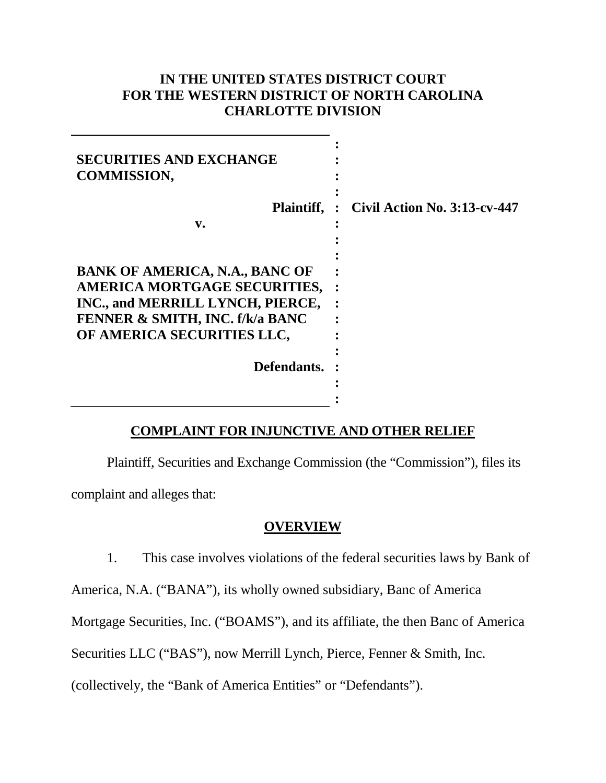# **IN THE UNITED STATES DISTRICT COURT FOR THE WESTERN DISTRICT OF NORTH CAROLINA CHARLOTTE DIVISION**

| <b>SECURITIES AND EXCHANGE</b><br><b>COMMISSION,</b>                                                                                                                                                        |                                     |
|-------------------------------------------------------------------------------------------------------------------------------------------------------------------------------------------------------------|-------------------------------------|
| Plaintiff, :                                                                                                                                                                                                | <b>Civil Action No. 3:13-cv-447</b> |
| v.                                                                                                                                                                                                          |                                     |
| <b>BANK OF AMERICA, N.A., BANC OF</b><br><b>AMERICA MORTGAGE SECURITIES,</b><br>INC., and MERRILL LYNCH, PIERCE,<br><b>FENNER &amp; SMITH, INC. f/k/a BANC</b><br>OF AMERICA SECURITIES LLC,<br>Defendants. |                                     |
|                                                                                                                                                                                                             |                                     |

# **COMPLAINT FOR INJUNCTIVE AND OTHER RELIEF**

Plaintiff, Securities and Exchange Commission (the "Commission"), files its complaint and alleges that:

### **OVERVIEW**

1. This case involves violations of the federal securities laws by Bank of

America, N.A. ("BANA"), its wholly owned subsidiary, Banc of America

Mortgage Securities, Inc. ("BOAMS"), and its affiliate, the then Banc of America

Securities LLC ("BAS"), now Merrill Lynch, Pierce, Fenner & Smith, Inc.

(collectively, the "Bank of America Entities" or "Defendants").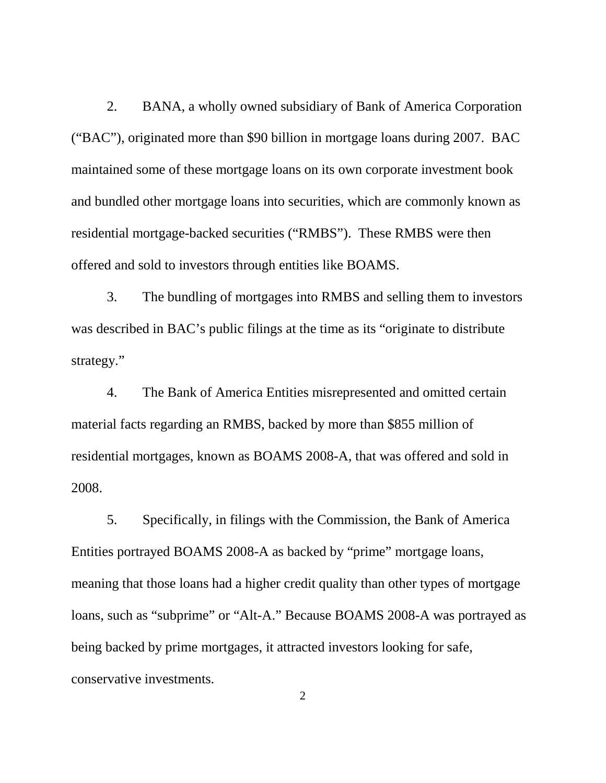2. BANA, a wholly owned subsidiary of Bank of America Corporation ("BAC"), originated more than \$90 billion in mortgage loans during 2007. BAC maintained some of these mortgage loans on its own corporate investment book and bundled other mortgage loans into securities, which are commonly known as residential mortgage-backed securities ("RMBS"). These RMBS were then offered and sold to investors through entities like BOAMS.

3. The bundling of mortgages into RMBS and selling them to investors was described in BAC's public filings at the time as its "originate to distribute strategy."

4. The Bank of America Entities misrepresented and omitted certain material facts regarding an RMBS, backed by more than \$855 million of residential mortgages, known as BOAMS 2008-A, that was offered and sold in 2008.

5. Specifically, in filings with the Commission, the Bank of America Entities portrayed BOAMS 2008-A as backed by "prime" mortgage loans, meaning that those loans had a higher credit quality than other types of mortgage loans, such as "subprime" or "Alt-A." Because BOAMS 2008-A was portrayed as being backed by prime mortgages, it attracted investors looking for safe, conservative investments.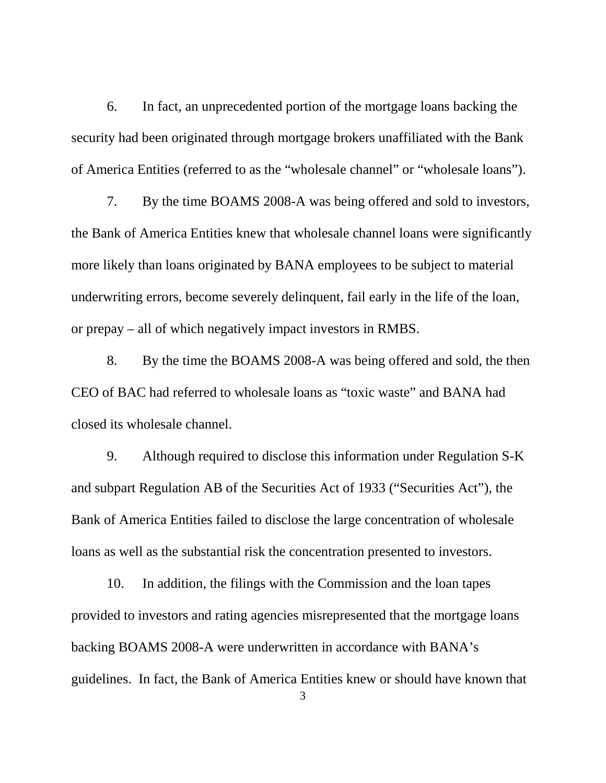6. In fact, an unprecedented portion of the mortgage loans backing the security had been originated through mortgage brokers unaffiliated with the Bank of America Entities (referred to as the "wholesale channel" or "wholesale loans").

7. By the time BOAMS 2008-A was being offered and sold to investors, the Bank of America Entities knew that wholesale channel loans were significantly more likely than loans originated by BANA employees to be subject to material underwriting errors, become severely delinquent, fail early in the life of the loan, or prepay – all of which negatively impact investors in RMBS.

8. By the time the BOAMS 2008-A was being offered and sold, the then CEO of BAC had referred to wholesale loans as "toxic waste" and BANA had closed its wholesale channel.

9. Although required to disclose this information under Regulation S-K and subpart Regulation AB of the Securities Act of 1933 ("Securities Act"), the Bank of America Entities failed to disclose the large concentration of wholesale loans as well as the substantial risk the concentration presented to investors.

10. In addition, the filings with the Commission and the loan tapes provided to investors and rating agencies misrepresented that the mortgage loans backing BOAMS 2008-A were underwritten in accordance with BANA's guidelines. In fact, the Bank of America Entities knew or should have known that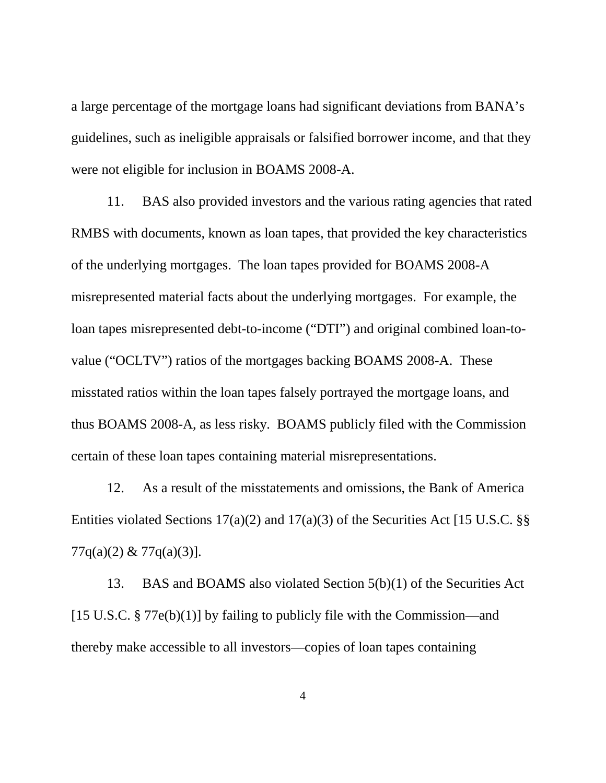a large percentage of the mortgage loans had significant deviations from BANA's guidelines, such as ineligible appraisals or falsified borrower income, and that they were not eligible for inclusion in BOAMS 2008-A.

11. BAS also provided investors and the various rating agencies that rated RMBS with documents, known as loan tapes, that provided the key characteristics of the underlying mortgages. The loan tapes provided for BOAMS 2008-A misrepresented material facts about the underlying mortgages. For example, the loan tapes misrepresented debt-to-income ("DTI") and original combined loan-tovalue ("OCLTV") ratios of the mortgages backing BOAMS 2008-A. These misstated ratios within the loan tapes falsely portrayed the mortgage loans, and thus BOAMS 2008-A, as less risky. BOAMS publicly filed with the Commission certain of these loan tapes containing material misrepresentations.

12. As a result of the misstatements and omissions, the Bank of America Entities violated Sections  $17(a)(2)$  and  $17(a)(3)$  of the Securities Act [15 U.S.C. §§  $77q(a)(2) \& 77q(a)(3)$ ].

13. BAS and BOAMS also violated Section 5(b)(1) of the Securities Act [15 U.S.C. § 77e(b)(1)] by failing to publicly file with the Commission—and thereby make accessible to all investors—copies of loan tapes containing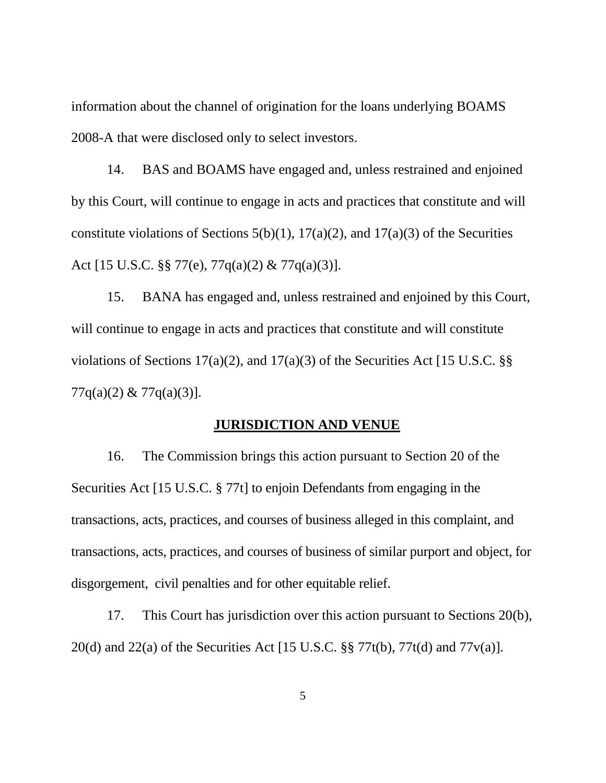information about the channel of origination for the loans underlying BOAMS 2008-A that were disclosed only to select investors.

14. BAS and BOAMS have engaged and, unless restrained and enjoined by this Court, will continue to engage in acts and practices that constitute and will constitute violations of Sections  $5(b)(1)$ ,  $17(a)(2)$ , and  $17(a)(3)$  of the Securities Act [15 U.S.C. §§ 77(e), 77q(a)(2) & 77q(a)(3)].

15. BANA has engaged and, unless restrained and enjoined by this Court, will continue to engage in acts and practices that constitute and will constitute violations of Sections 17(a)(2), and 17(a)(3) of the Securities Act [15 U.S.C.  $\S$ § 77q(a)(2) & 77q(a)(3)].

## **JURISDICTION AND VENUE**

16. The Commission brings this action pursuant to Section 20 of the Securities Act [15 U.S.C. § 77t] to enjoin Defendants from engaging in the transactions, acts, practices, and courses of business alleged in this complaint, and transactions, acts, practices, and courses of business of similar purport and object, for disgorgement, civil penalties and for other equitable relief.

17. This Court has jurisdiction over this action pursuant to Sections 20(b), 20(d) and 22(a) of the Securities Act [15 U.S.C. §§ 77t(b), 77t(d) and 77v(a)].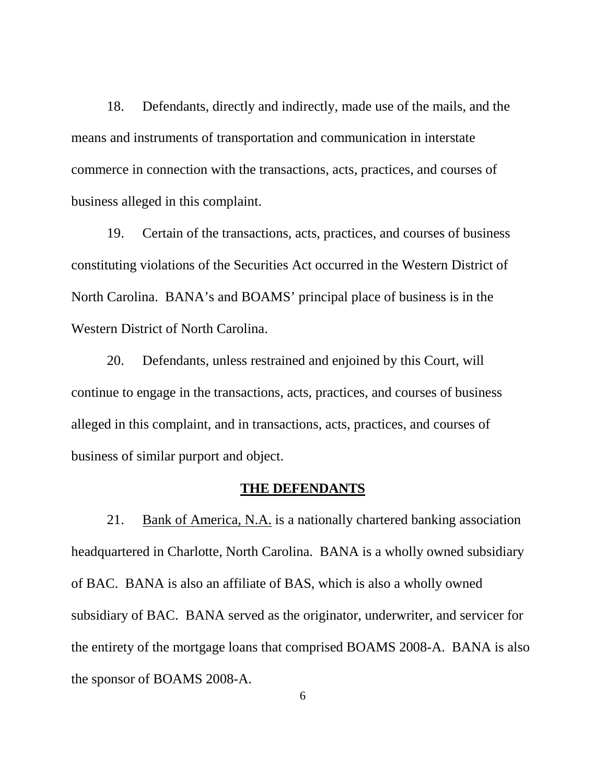18. Defendants, directly and indirectly, made use of the mails, and the means and instruments of transportation and communication in interstate commerce in connection with the transactions, acts, practices, and courses of business alleged in this complaint.

19. Certain of the transactions, acts, practices, and courses of business constituting violations of the Securities Act occurred in the Western District of North Carolina. BANA's and BOAMS' principal place of business is in the Western District of North Carolina.

20. Defendants, unless restrained and enjoined by this Court, will continue to engage in the transactions, acts, practices, and courses of business alleged in this complaint, and in transactions, acts, practices, and courses of business of similar purport and object.

#### **THE DEFENDANTS**

21. Bank of America, N.A. is a nationally chartered banking association headquartered in Charlotte, North Carolina. BANA is a wholly owned subsidiary of BAC. BANA is also an affiliate of BAS, which is also a wholly owned subsidiary of BAC. BANA served as the originator, underwriter, and servicer for the entirety of the mortgage loans that comprised BOAMS 2008-A. BANA is also the sponsor of BOAMS 2008-A.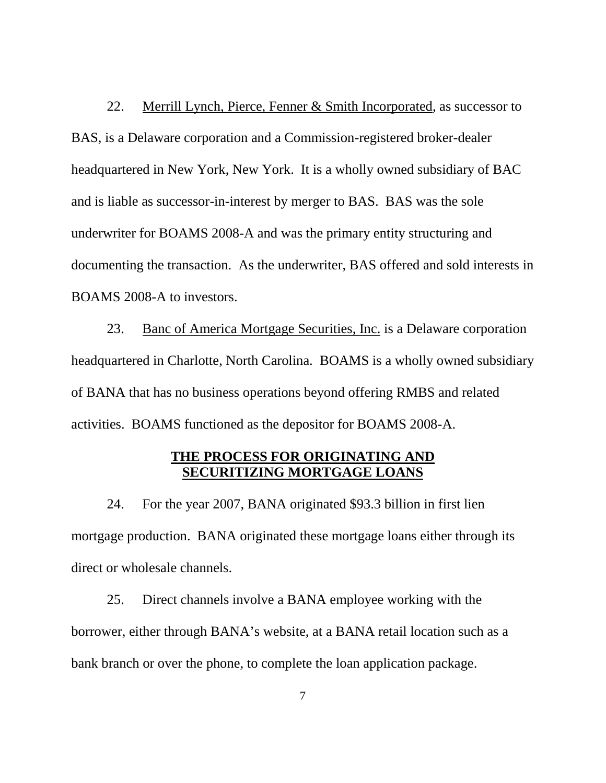22. Merrill Lynch, Pierce, Fenner & Smith Incorporated, as successor to BAS, is a Delaware corporation and a Commission-registered broker-dealer headquartered in New York, New York. It is a wholly owned subsidiary of BAC and is liable as successor-in-interest by merger to BAS. BAS was the sole underwriter for BOAMS 2008-A and was the primary entity structuring and documenting the transaction. As the underwriter, BAS offered and sold interests in BOAMS 2008-A to investors.

23. Banc of America Mortgage Securities, Inc. is a Delaware corporation headquartered in Charlotte, North Carolina. BOAMS is a wholly owned subsidiary of BANA that has no business operations beyond offering RMBS and related activities. BOAMS functioned as the depositor for BOAMS 2008-A.

## **THE PROCESS FOR ORIGINATING AND SECURITIZING MORTGAGE LOANS**

24. For the year 2007, BANA originated \$93.3 billion in first lien mortgage production. BANA originated these mortgage loans either through its direct or wholesale channels.

25. Direct channels involve a BANA employee working with the borrower, either through BANA's website, at a BANA retail location such as a bank branch or over the phone, to complete the loan application package.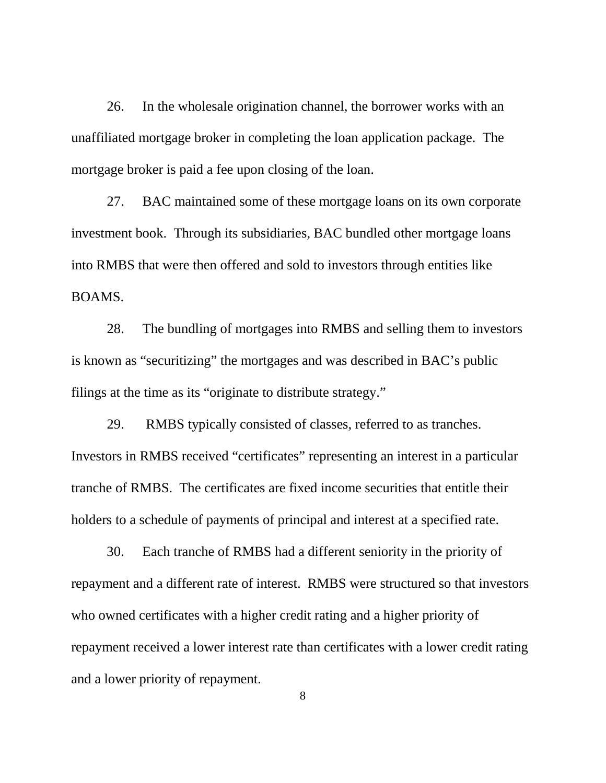26. In the wholesale origination channel, the borrower works with an unaffiliated mortgage broker in completing the loan application package. The mortgage broker is paid a fee upon closing of the loan.

27. BAC maintained some of these mortgage loans on its own corporate investment book. Through its subsidiaries, BAC bundled other mortgage loans into RMBS that were then offered and sold to investors through entities like BOAMS.

28. The bundling of mortgages into RMBS and selling them to investors is known as "securitizing" the mortgages and was described in BAC's public filings at the time as its "originate to distribute strategy."

29. RMBS typically consisted of classes, referred to as tranches. Investors in RMBS received "certificates" representing an interest in a particular tranche of RMBS. The certificates are fixed income securities that entitle their holders to a schedule of payments of principal and interest at a specified rate.

30. Each tranche of RMBS had a different seniority in the priority of repayment and a different rate of interest. RMBS were structured so that investors who owned certificates with a higher credit rating and a higher priority of repayment received a lower interest rate than certificates with a lower credit rating and a lower priority of repayment.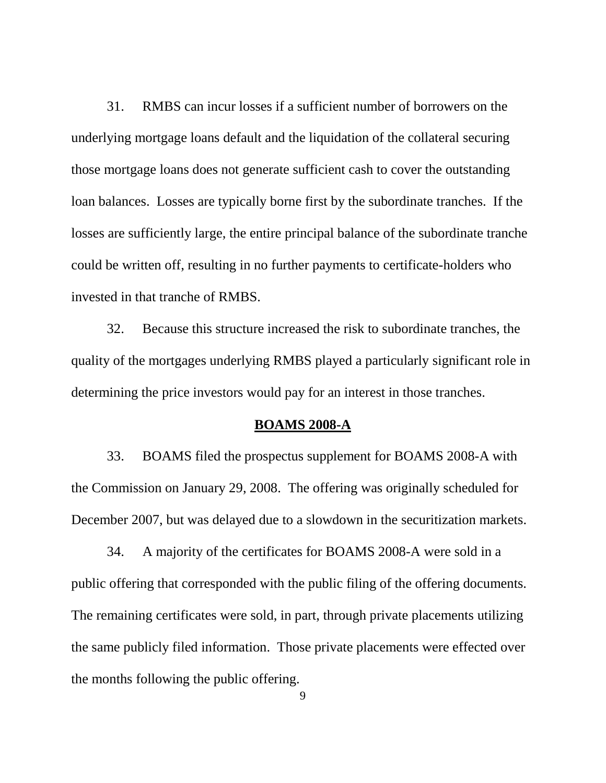31. RMBS can incur losses if a sufficient number of borrowers on the underlying mortgage loans default and the liquidation of the collateral securing those mortgage loans does not generate sufficient cash to cover the outstanding loan balances. Losses are typically borne first by the subordinate tranches. If the losses are sufficiently large, the entire principal balance of the subordinate tranche could be written off, resulting in no further payments to certificate-holders who invested in that tranche of RMBS.

32. Because this structure increased the risk to subordinate tranches, the quality of the mortgages underlying RMBS played a particularly significant role in determining the price investors would pay for an interest in those tranches.

#### **BOAMS 2008-A**

33. BOAMS filed the prospectus supplement for BOAMS 2008-A with the Commission on January 29, 2008. The offering was originally scheduled for December 2007, but was delayed due to a slowdown in the securitization markets.

34. A majority of the certificates for BOAMS 2008-A were sold in a public offering that corresponded with the public filing of the offering documents. The remaining certificates were sold, in part, through private placements utilizing the same publicly filed information. Those private placements were effected over the months following the public offering.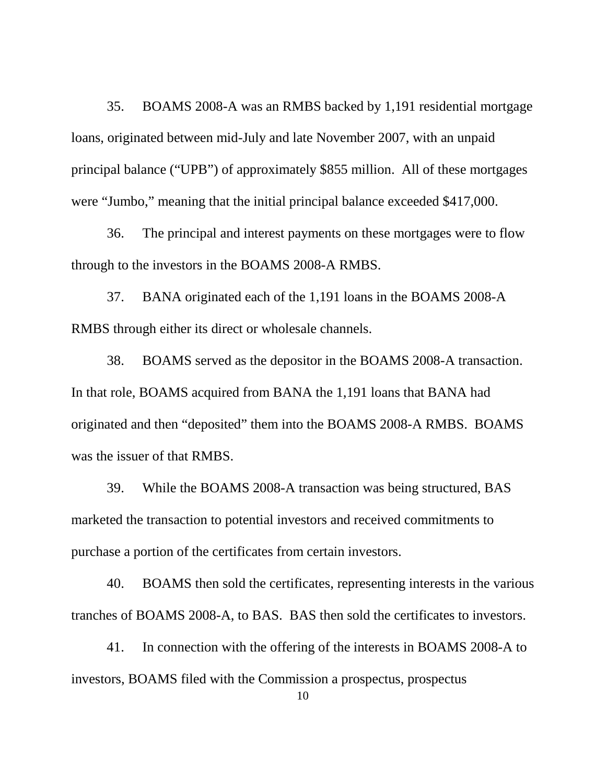35. BOAMS 2008-A was an RMBS backed by 1,191 residential mortgage loans, originated between mid-July and late November 2007, with an unpaid principal balance ("UPB") of approximately \$855 million. All of these mortgages were "Jumbo," meaning that the initial principal balance exceeded \$417,000.

36. The principal and interest payments on these mortgages were to flow through to the investors in the BOAMS 2008-A RMBS.

37. BANA originated each of the 1,191 loans in the BOAMS 2008-A RMBS through either its direct or wholesale channels.

38. BOAMS served as the depositor in the BOAMS 2008-A transaction. In that role, BOAMS acquired from BANA the 1,191 loans that BANA had originated and then "deposited" them into the BOAMS 2008-A RMBS. BOAMS was the issuer of that RMBS.

39. While the BOAMS 2008-A transaction was being structured, BAS marketed the transaction to potential investors and received commitments to purchase a portion of the certificates from certain investors.

40. BOAMS then sold the certificates, representing interests in the various tranches of BOAMS 2008-A, to BAS. BAS then sold the certificates to investors.

41. In connection with the offering of the interests in BOAMS 2008-A to investors, BOAMS filed with the Commission a prospectus, prospectus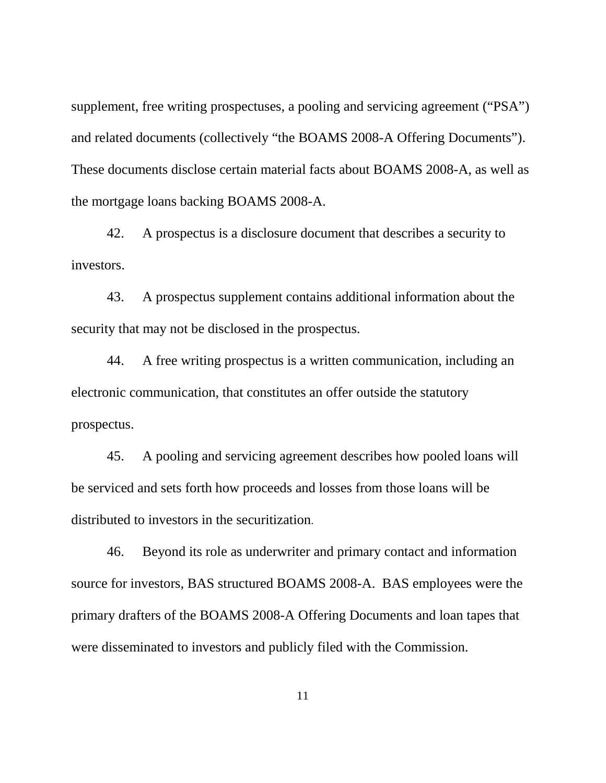supplement, free writing prospectuses, a pooling and servicing agreement ("PSA") and related documents (collectively "the BOAMS 2008-A Offering Documents"). These documents disclose certain material facts about BOAMS 2008-A, as well as the mortgage loans backing BOAMS 2008-A.

42. A prospectus is a disclosure document that describes a security to investors.

43. A prospectus supplement contains additional information about the security that may not be disclosed in the prospectus.

44. A free writing prospectus is a written communication, including an electronic communication, that constitutes an offer outside the statutory prospectus.

45. A pooling and servicing agreement describes how pooled loans will be serviced and sets forth how proceeds and losses from those loans will be distributed to investors in the securitization.

46. Beyond its role as underwriter and primary contact and information source for investors, BAS structured BOAMS 2008-A. BAS employees were the primary drafters of the BOAMS 2008-A Offering Documents and loan tapes that were disseminated to investors and publicly filed with the Commission.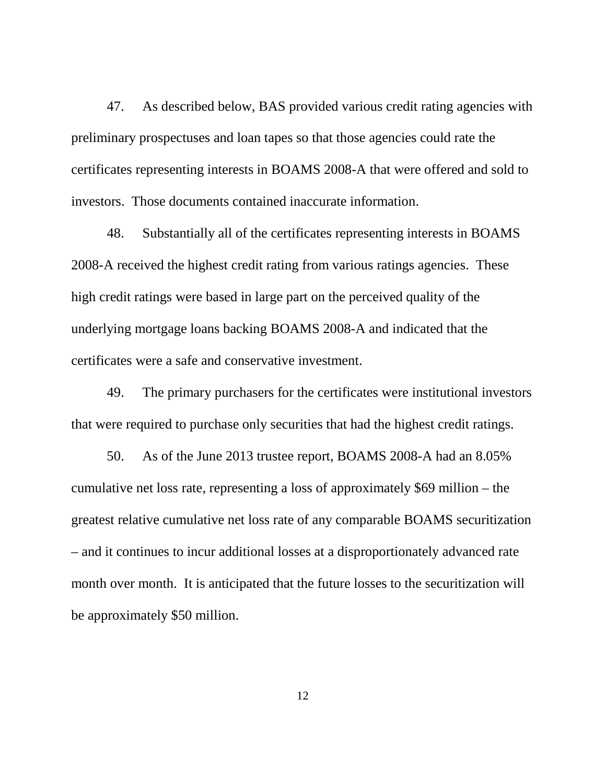47. As described below, BAS provided various credit rating agencies with preliminary prospectuses and loan tapes so that those agencies could rate the certificates representing interests in BOAMS 2008-A that were offered and sold to investors. Those documents contained inaccurate information.

48. Substantially all of the certificates representing interests in BOAMS 2008-A received the highest credit rating from various ratings agencies. These high credit ratings were based in large part on the perceived quality of the underlying mortgage loans backing BOAMS 2008-A and indicated that the certificates were a safe and conservative investment.

49. The primary purchasers for the certificates were institutional investors that were required to purchase only securities that had the highest credit ratings.

50. As of the June 2013 trustee report, BOAMS 2008-A had an 8.05% cumulative net loss rate, representing a loss of approximately \$69 million – the greatest relative cumulative net loss rate of any comparable BOAMS securitization – and it continues to incur additional losses at a disproportionately advanced rate month over month. It is anticipated that the future losses to the securitization will be approximately \$50 million.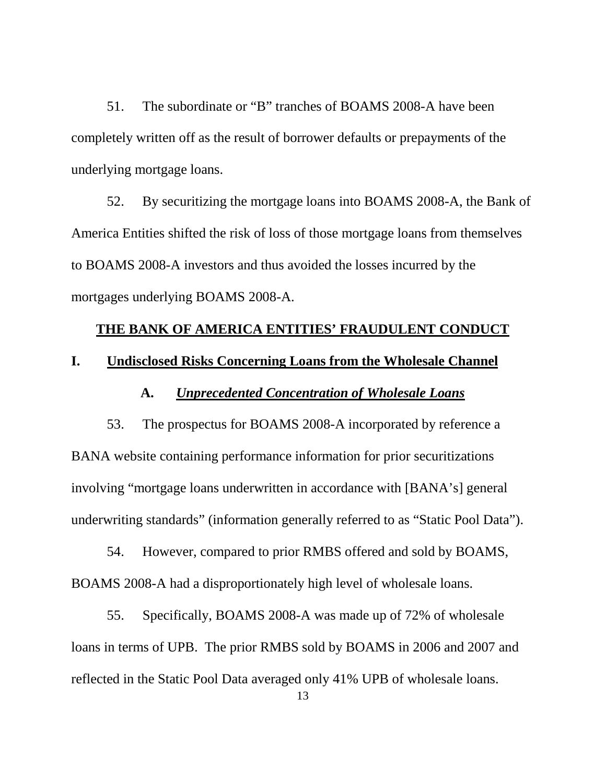51. The subordinate or "B" tranches of BOAMS 2008-A have been completely written off as the result of borrower defaults or prepayments of the underlying mortgage loans.

52. By securitizing the mortgage loans into BOAMS 2008-A, the Bank of America Entities shifted the risk of loss of those mortgage loans from themselves to BOAMS 2008-A investors and thus avoided the losses incurred by the mortgages underlying BOAMS 2008-A.

## **THE BANK OF AMERICA ENTITIES' FRAUDULENT CONDUCT**

## **I. Undisclosed Risks Concerning Loans from the Wholesale Channel**

## **A.** *Unprecedented Concentration of Wholesale Loans*

53. The prospectus for BOAMS 2008-A incorporated by reference a BANA website containing performance information for prior securitizations involving "mortgage loans underwritten in accordance with [BANA's] general underwriting standards" (information generally referred to as "Static Pool Data").

54. However, compared to prior RMBS offered and sold by BOAMS, BOAMS 2008-A had a disproportionately high level of wholesale loans.

55. Specifically, BOAMS 2008-A was made up of 72% of wholesale loans in terms of UPB. The prior RMBS sold by BOAMS in 2006 and 2007 and reflected in the Static Pool Data averaged only 41% UPB of wholesale loans.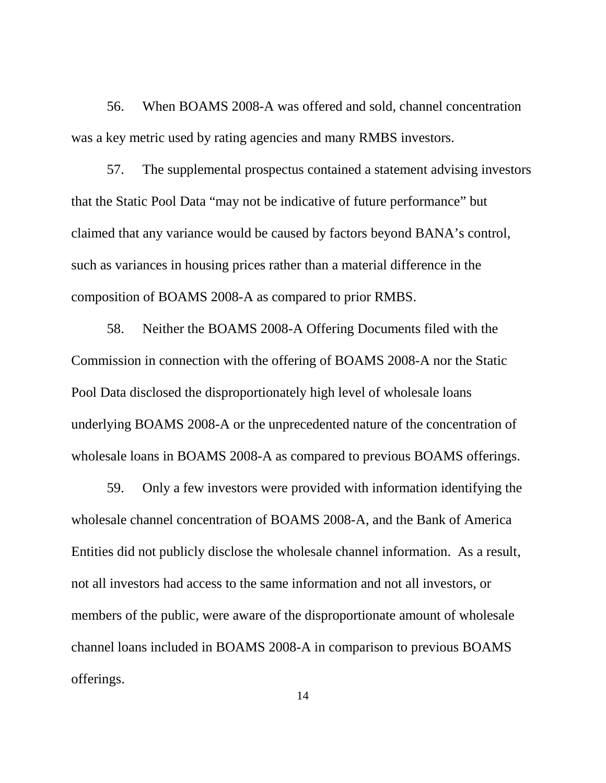56. When BOAMS 2008-A was offered and sold, channel concentration was a key metric used by rating agencies and many RMBS investors.

57. The supplemental prospectus contained a statement advising investors that the Static Pool Data "may not be indicative of future performance" but claimed that any variance would be caused by factors beyond BANA's control, such as variances in housing prices rather than a material difference in the composition of BOAMS 2008-A as compared to prior RMBS.

58. Neither the BOAMS 2008-A Offering Documents filed with the Commission in connection with the offering of BOAMS 2008-A nor the Static Pool Data disclosed the disproportionately high level of wholesale loans underlying BOAMS 2008-A or the unprecedented nature of the concentration of wholesale loans in BOAMS 2008-A as compared to previous BOAMS offerings.

59. Only a few investors were provided with information identifying the wholesale channel concentration of BOAMS 2008-A, and the Bank of America Entities did not publicly disclose the wholesale channel information. As a result, not all investors had access to the same information and not all investors, or members of the public, were aware of the disproportionate amount of wholesale channel loans included in BOAMS 2008-A in comparison to previous BOAMS offerings.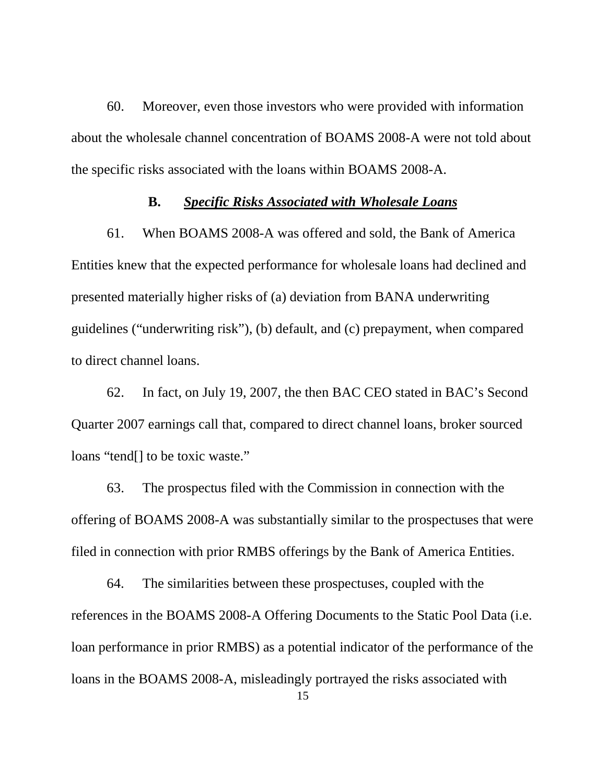60. Moreover, even those investors who were provided with information about the wholesale channel concentration of BOAMS 2008-A were not told about the specific risks associated with the loans within BOAMS 2008-A.

### **B.** *Specific Risks Associated with Wholesale Loans*

61. When BOAMS 2008-A was offered and sold, the Bank of America Entities knew that the expected performance for wholesale loans had declined and presented materially higher risks of (a) deviation from BANA underwriting guidelines ("underwriting risk"), (b) default, and (c) prepayment, when compared to direct channel loans.

62. In fact, on July 19, 2007, the then BAC CEO stated in BAC's Second Quarter 2007 earnings call that, compared to direct channel loans, broker sourced loans "tend[] to be toxic waste."

63. The prospectus filed with the Commission in connection with the offering of BOAMS 2008-A was substantially similar to the prospectuses that were filed in connection with prior RMBS offerings by the Bank of America Entities.

64. The similarities between these prospectuses, coupled with the references in the BOAMS 2008-A Offering Documents to the Static Pool Data (i.e. loan performance in prior RMBS) as a potential indicator of the performance of the loans in the BOAMS 2008-A, misleadingly portrayed the risks associated with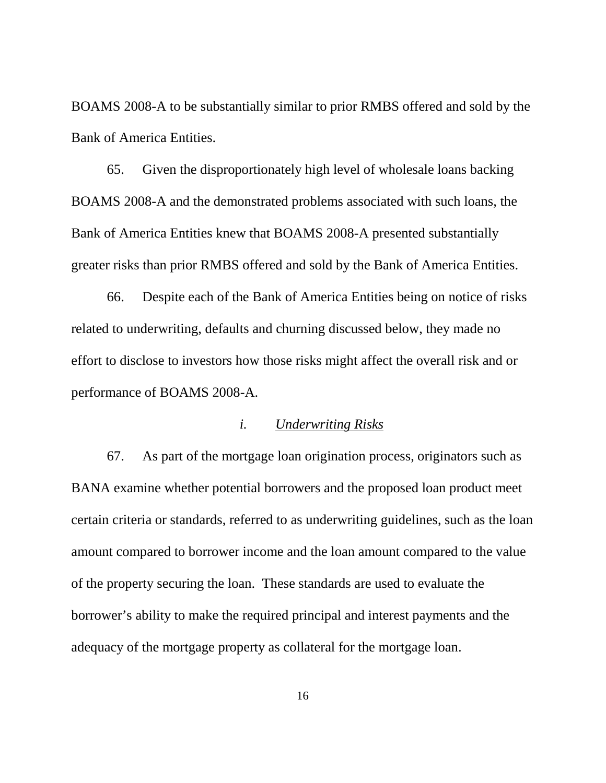BOAMS 2008-A to be substantially similar to prior RMBS offered and sold by the Bank of America Entities.

65. Given the disproportionately high level of wholesale loans backing BOAMS 2008-A and the demonstrated problems associated with such loans, the Bank of America Entities knew that BOAMS 2008-A presented substantially greater risks than prior RMBS offered and sold by the Bank of America Entities.

66. Despite each of the Bank of America Entities being on notice of risks related to underwriting, defaults and churning discussed below, they made no effort to disclose to investors how those risks might affect the overall risk and or performance of BOAMS 2008-A.

### *i. Underwriting Risks*

67. As part of the mortgage loan origination process, originators such as BANA examine whether potential borrowers and the proposed loan product meet certain criteria or standards, referred to as underwriting guidelines, such as the loan amount compared to borrower income and the loan amount compared to the value of the property securing the loan. These standards are used to evaluate the borrower's ability to make the required principal and interest payments and the adequacy of the mortgage property as collateral for the mortgage loan.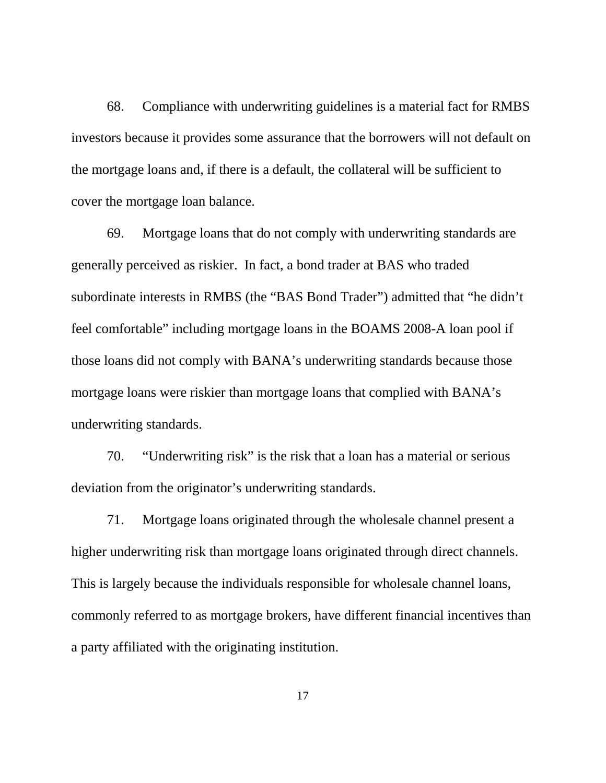68. Compliance with underwriting guidelines is a material fact for RMBS investors because it provides some assurance that the borrowers will not default on the mortgage loans and, if there is a default, the collateral will be sufficient to cover the mortgage loan balance.

69. Mortgage loans that do not comply with underwriting standards are generally perceived as riskier. In fact, a bond trader at BAS who traded subordinate interests in RMBS (the "BAS Bond Trader") admitted that "he didn't feel comfortable" including mortgage loans in the BOAMS 2008-A loan pool if those loans did not comply with BANA's underwriting standards because those mortgage loans were riskier than mortgage loans that complied with BANA's underwriting standards.

70. "Underwriting risk" is the risk that a loan has a material or serious deviation from the originator's underwriting standards.

71. Mortgage loans originated through the wholesale channel present a higher underwriting risk than mortgage loans originated through direct channels. This is largely because the individuals responsible for wholesale channel loans, commonly referred to as mortgage brokers, have different financial incentives than a party affiliated with the originating institution.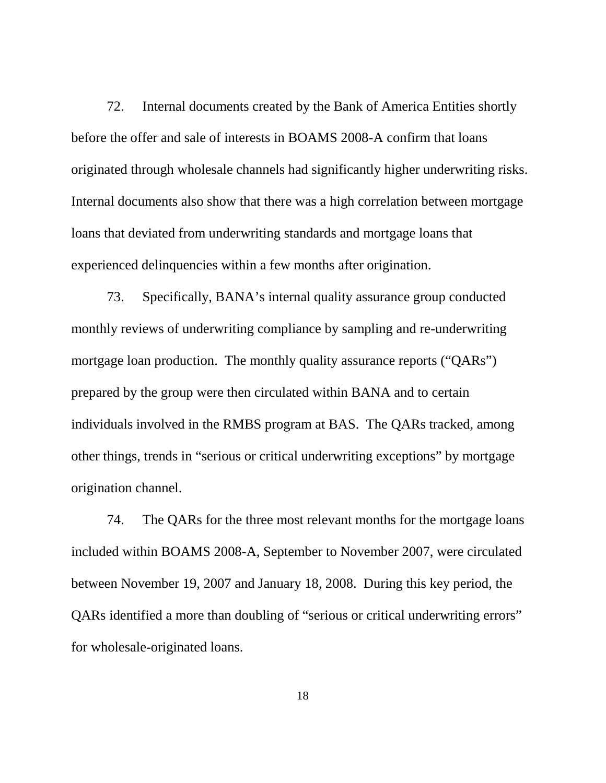72. Internal documents created by the Bank of America Entities shortly before the offer and sale of interests in BOAMS 2008-A confirm that loans originated through wholesale channels had significantly higher underwriting risks. Internal documents also show that there was a high correlation between mortgage loans that deviated from underwriting standards and mortgage loans that experienced delinquencies within a few months after origination.

73. Specifically, BANA's internal quality assurance group conducted monthly reviews of underwriting compliance by sampling and re-underwriting mortgage loan production. The monthly quality assurance reports ("QARs") prepared by the group were then circulated within BANA and to certain individuals involved in the RMBS program at BAS. The QARs tracked, among other things, trends in "serious or critical underwriting exceptions" by mortgage origination channel.

74. The QARs for the three most relevant months for the mortgage loans included within BOAMS 2008-A, September to November 2007, were circulated between November 19, 2007 and January 18, 2008. During this key period, the QARs identified a more than doubling of "serious or critical underwriting errors" for wholesale-originated loans.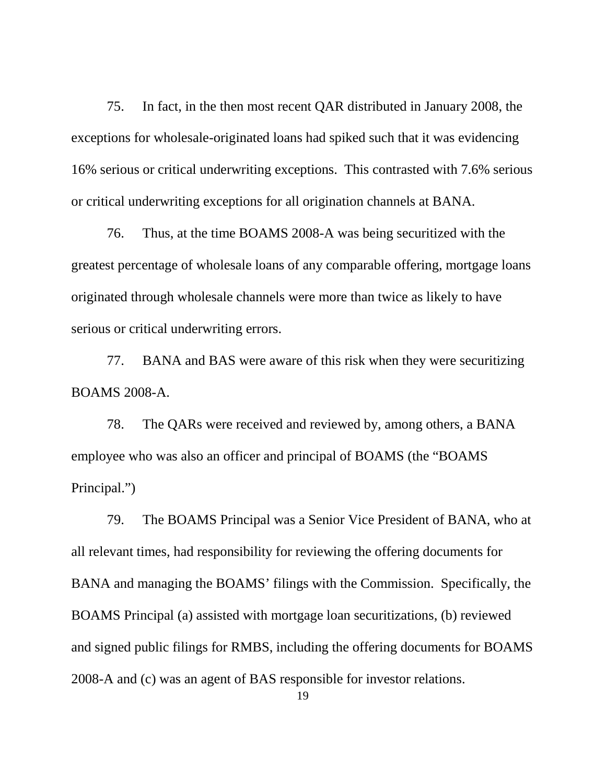75. In fact, in the then most recent QAR distributed in January 2008, the exceptions for wholesale-originated loans had spiked such that it was evidencing 16% serious or critical underwriting exceptions. This contrasted with 7.6% serious or critical underwriting exceptions for all origination channels at BANA.

76. Thus, at the time BOAMS 2008-A was being securitized with the greatest percentage of wholesale loans of any comparable offering, mortgage loans originated through wholesale channels were more than twice as likely to have serious or critical underwriting errors.

77. BANA and BAS were aware of this risk when they were securitizing BOAMS 2008-A.

78. The QARs were received and reviewed by, among others, a BANA employee who was also an officer and principal of BOAMS (the "BOAMS Principal.")

79. The BOAMS Principal was a Senior Vice President of BANA, who at all relevant times, had responsibility for reviewing the offering documents for BANA and managing the BOAMS' filings with the Commission. Specifically, the BOAMS Principal (a) assisted with mortgage loan securitizations, (b) reviewed and signed public filings for RMBS, including the offering documents for BOAMS 2008-A and (c) was an agent of BAS responsible for investor relations.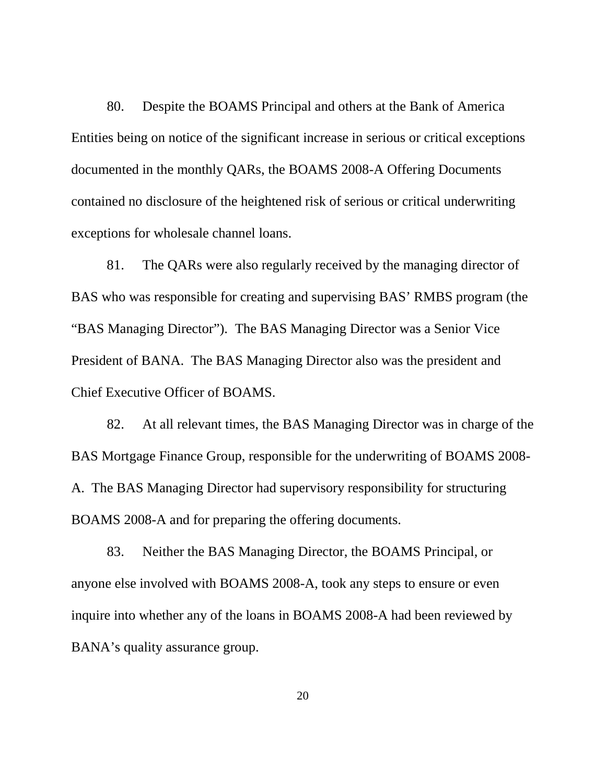80. Despite the BOAMS Principal and others at the Bank of America Entities being on notice of the significant increase in serious or critical exceptions documented in the monthly QARs, the BOAMS 2008-A Offering Documents contained no disclosure of the heightened risk of serious or critical underwriting exceptions for wholesale channel loans.

81. The QARs were also regularly received by the managing director of BAS who was responsible for creating and supervising BAS' RMBS program (the "BAS Managing Director"). The BAS Managing Director was a Senior Vice President of BANA. The BAS Managing Director also was the president and Chief Executive Officer of BOAMS.

82. At all relevant times, the BAS Managing Director was in charge of the BAS Mortgage Finance Group, responsible for the underwriting of BOAMS 2008- A. The BAS Managing Director had supervisory responsibility for structuring BOAMS 2008-A and for preparing the offering documents.

83. Neither the BAS Managing Director, the BOAMS Principal, or anyone else involved with BOAMS 2008-A, took any steps to ensure or even inquire into whether any of the loans in BOAMS 2008-A had been reviewed by BANA's quality assurance group.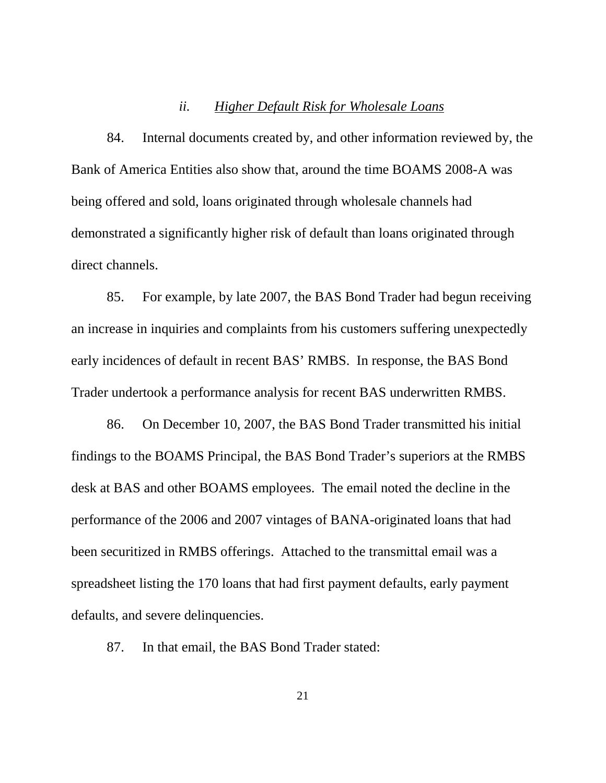#### *ii. Higher Default Risk for Wholesale Loans*

84. Internal documents created by, and other information reviewed by, the Bank of America Entities also show that, around the time BOAMS 2008-A was being offered and sold, loans originated through wholesale channels had demonstrated a significantly higher risk of default than loans originated through direct channels.

85. For example, by late 2007, the BAS Bond Trader had begun receiving an increase in inquiries and complaints from his customers suffering unexpectedly early incidences of default in recent BAS' RMBS. In response, the BAS Bond Trader undertook a performance analysis for recent BAS underwritten RMBS.

86. On December 10, 2007, the BAS Bond Trader transmitted his initial findings to the BOAMS Principal, the BAS Bond Trader's superiors at the RMBS desk at BAS and other BOAMS employees. The email noted the decline in the performance of the 2006 and 2007 vintages of BANA-originated loans that had been securitized in RMBS offerings. Attached to the transmittal email was a spreadsheet listing the 170 loans that had first payment defaults, early payment defaults, and severe delinquencies.

87. In that email, the BAS Bond Trader stated: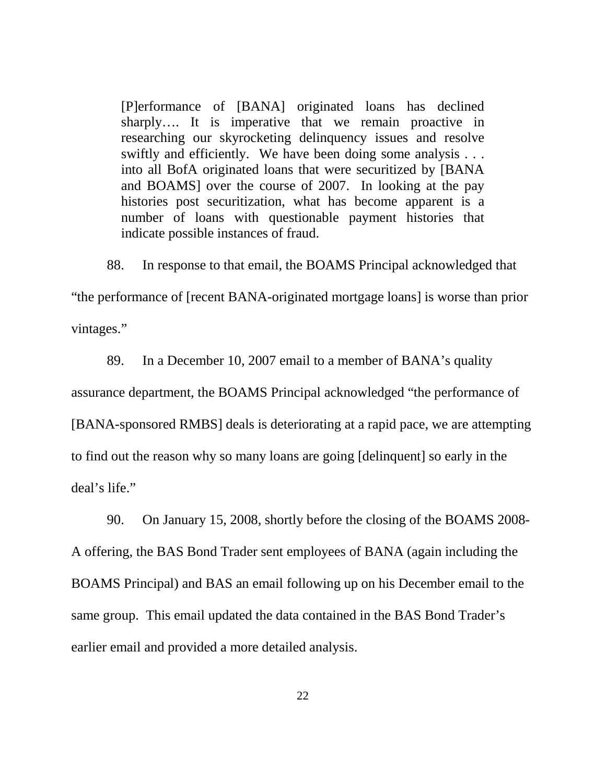[P]erformance of [BANA] originated loans has declined sharply…. It is imperative that we remain proactive in researching our skyrocketing delinquency issues and resolve swiftly and efficiently. We have been doing some analysis . . . into all BofA originated loans that were securitized by [BANA and BOAMS] over the course of 2007. In looking at the pay histories post securitization, what has become apparent is a number of loans with questionable payment histories that indicate possible instances of fraud.

88. In response to that email, the BOAMS Principal acknowledged that

"the performance of [recent BANA-originated mortgage loans] is worse than prior vintages."

89. In a December 10, 2007 email to a member of BANA's quality

assurance department, the BOAMS Principal acknowledged "the performance of

[BANA-sponsored RMBS] deals is deteriorating at a rapid pace, we are attempting to find out the reason why so many loans are going [delinquent] so early in the deal's life."

90. On January 15, 2008, shortly before the closing of the BOAMS 2008- A offering, the BAS Bond Trader sent employees of BANA (again including the BOAMS Principal) and BAS an email following up on his December email to the same group. This email updated the data contained in the BAS Bond Trader's earlier email and provided a more detailed analysis.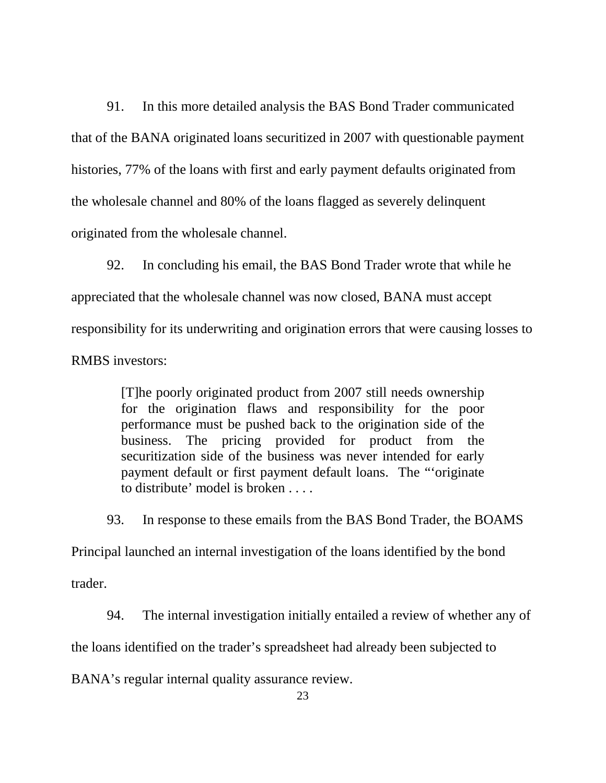91. In this more detailed analysis the BAS Bond Trader communicated that of the BANA originated loans securitized in 2007 with questionable payment histories, 77% of the loans with first and early payment defaults originated from the wholesale channel and 80% of the loans flagged as severely delinquent originated from the wholesale channel.

92. In concluding his email, the BAS Bond Trader wrote that while he appreciated that the wholesale channel was now closed, BANA must accept responsibility for its underwriting and origination errors that were causing losses to RMBS investors:

> [T]he poorly originated product from 2007 still needs ownership for the origination flaws and responsibility for the poor performance must be pushed back to the origination side of the business. The pricing provided for product from the securitization side of the business was never intended for early payment default or first payment default loans. The "'originate to distribute' model is broken . . . .

93. In response to these emails from the BAS Bond Trader, the BOAMS

Principal launched an internal investigation of the loans identified by the bond

trader.

94. The internal investigation initially entailed a review of whether any of

the loans identified on the trader's spreadsheet had already been subjected to

BANA's regular internal quality assurance review.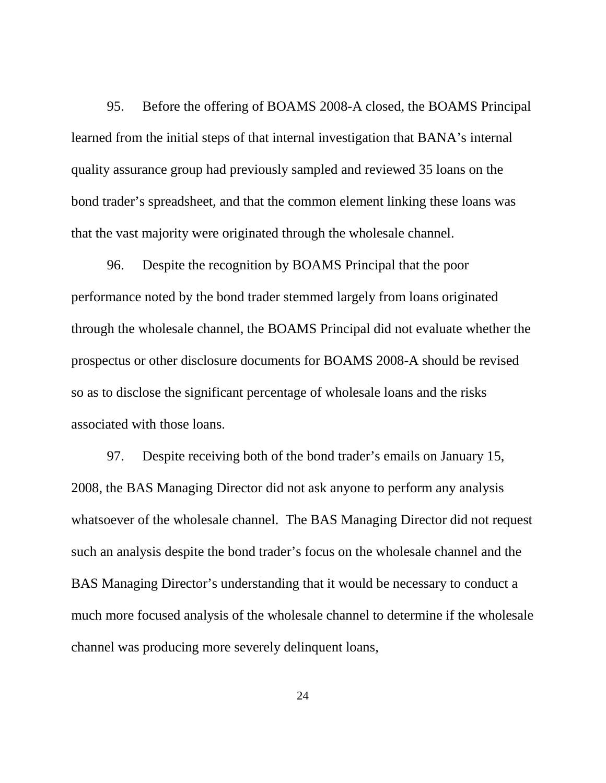95. Before the offering of BOAMS 2008-A closed, the BOAMS Principal learned from the initial steps of that internal investigation that BANA's internal quality assurance group had previously sampled and reviewed 35 loans on the bond trader's spreadsheet, and that the common element linking these loans was that the vast majority were originated through the wholesale channel.

96. Despite the recognition by BOAMS Principal that the poor performance noted by the bond trader stemmed largely from loans originated through the wholesale channel, the BOAMS Principal did not evaluate whether the prospectus or other disclosure documents for BOAMS 2008-A should be revised so as to disclose the significant percentage of wholesale loans and the risks associated with those loans.

97. Despite receiving both of the bond trader's emails on January 15, 2008, the BAS Managing Director did not ask anyone to perform any analysis whatsoever of the wholesale channel. The BAS Managing Director did not request such an analysis despite the bond trader's focus on the wholesale channel and the BAS Managing Director's understanding that it would be necessary to conduct a much more focused analysis of the wholesale channel to determine if the wholesale channel was producing more severely delinquent loans,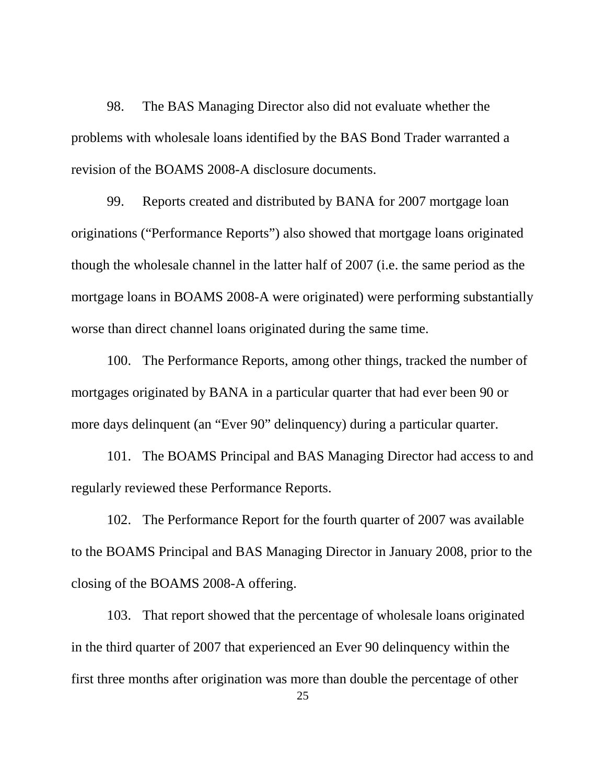98. The BAS Managing Director also did not evaluate whether the problems with wholesale loans identified by the BAS Bond Trader warranted a revision of the BOAMS 2008-A disclosure documents.

99. Reports created and distributed by BANA for 2007 mortgage loan originations ("Performance Reports") also showed that mortgage loans originated though the wholesale channel in the latter half of 2007 (i.e. the same period as the mortgage loans in BOAMS 2008-A were originated) were performing substantially worse than direct channel loans originated during the same time.

100. The Performance Reports, among other things, tracked the number of mortgages originated by BANA in a particular quarter that had ever been 90 or more days delinquent (an "Ever 90" delinquency) during a particular quarter.

101. The BOAMS Principal and BAS Managing Director had access to and regularly reviewed these Performance Reports.

102. The Performance Report for the fourth quarter of 2007 was available to the BOAMS Principal and BAS Managing Director in January 2008, prior to the closing of the BOAMS 2008-A offering.

103. That report showed that the percentage of wholesale loans originated in the third quarter of 2007 that experienced an Ever 90 delinquency within the first three months after origination was more than double the percentage of other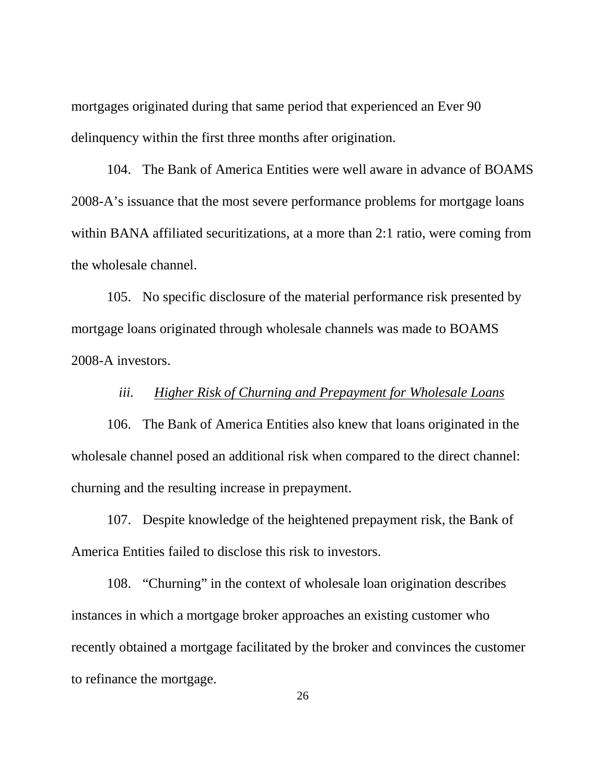mortgages originated during that same period that experienced an Ever 90 delinquency within the first three months after origination.

104. The Bank of America Entities were well aware in advance of BOAMS 2008-A's issuance that the most severe performance problems for mortgage loans within BANA affiliated securitizations, at a more than 2:1 ratio, were coming from the wholesale channel.

105. No specific disclosure of the material performance risk presented by mortgage loans originated through wholesale channels was made to BOAMS 2008-A investors.

## *iii. Higher Risk of Churning and Prepayment for Wholesale Loans*

106. The Bank of America Entities also knew that loans originated in the wholesale channel posed an additional risk when compared to the direct channel: churning and the resulting increase in prepayment.

107. Despite knowledge of the heightened prepayment risk, the Bank of America Entities failed to disclose this risk to investors.

108. "Churning" in the context of wholesale loan origination describes instances in which a mortgage broker approaches an existing customer who recently obtained a mortgage facilitated by the broker and convinces the customer to refinance the mortgage.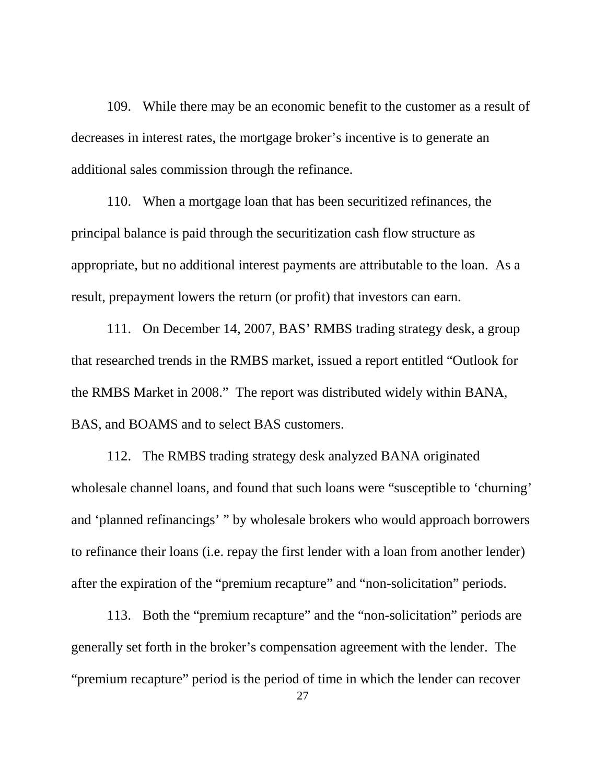109. While there may be an economic benefit to the customer as a result of decreases in interest rates, the mortgage broker's incentive is to generate an additional sales commission through the refinance.

110. When a mortgage loan that has been securitized refinances, the principal balance is paid through the securitization cash flow structure as appropriate, but no additional interest payments are attributable to the loan. As a result, prepayment lowers the return (or profit) that investors can earn.

111. On December 14, 2007, BAS' RMBS trading strategy desk, a group that researched trends in the RMBS market, issued a report entitled "Outlook for the RMBS Market in 2008." The report was distributed widely within BANA, BAS, and BOAMS and to select BAS customers.

112. The RMBS trading strategy desk analyzed BANA originated wholesale channel loans, and found that such loans were "susceptible to 'churning' and 'planned refinancings' " by wholesale brokers who would approach borrowers to refinance their loans (i.e. repay the first lender with a loan from another lender) after the expiration of the "premium recapture" and "non-solicitation" periods.

113. Both the "premium recapture" and the "non-solicitation" periods are generally set forth in the broker's compensation agreement with the lender. The "premium recapture" period is the period of time in which the lender can recover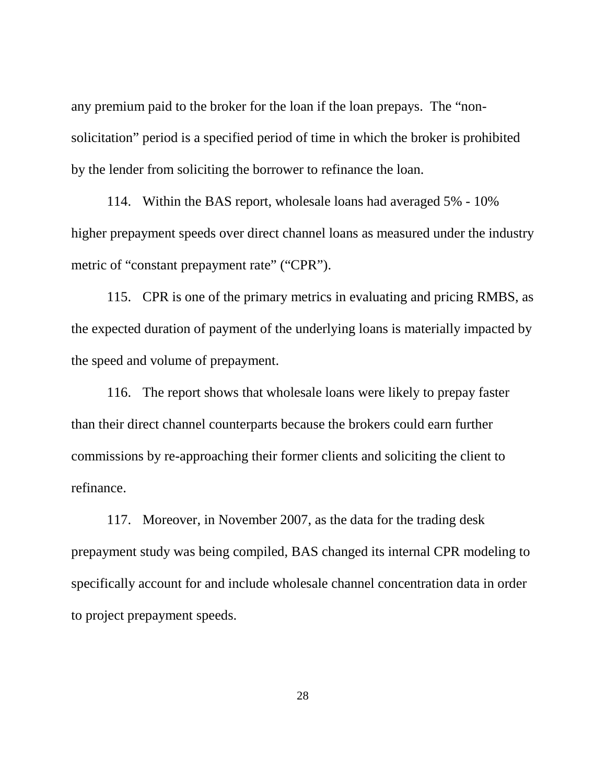any premium paid to the broker for the loan if the loan prepays. The "nonsolicitation" period is a specified period of time in which the broker is prohibited by the lender from soliciting the borrower to refinance the loan.

114. Within the BAS report, wholesale loans had averaged 5% - 10% higher prepayment speeds over direct channel loans as measured under the industry metric of "constant prepayment rate" ("CPR").

115. CPR is one of the primary metrics in evaluating and pricing RMBS, as the expected duration of payment of the underlying loans is materially impacted by the speed and volume of prepayment.

116. The report shows that wholesale loans were likely to prepay faster than their direct channel counterparts because the brokers could earn further commissions by re-approaching their former clients and soliciting the client to refinance.

117. Moreover, in November 2007, as the data for the trading desk prepayment study was being compiled, BAS changed its internal CPR modeling to specifically account for and include wholesale channel concentration data in order to project prepayment speeds.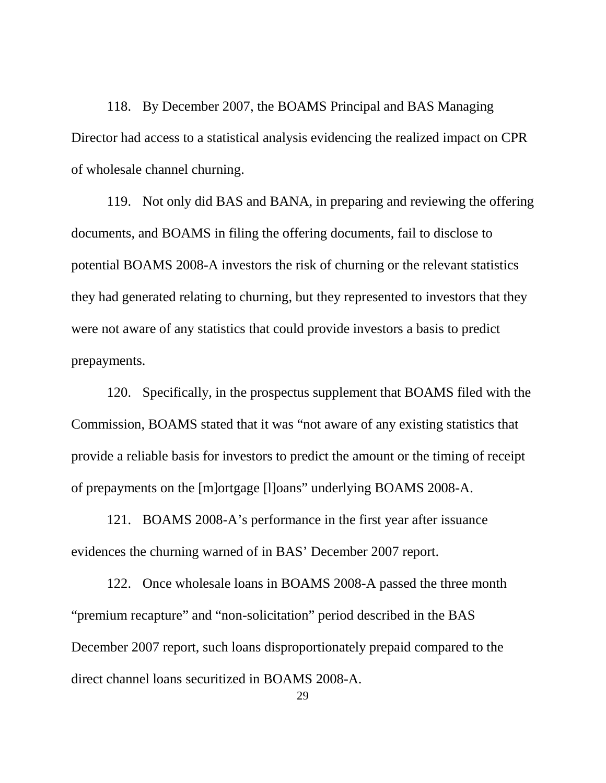118. By December 2007, the BOAMS Principal and BAS Managing Director had access to a statistical analysis evidencing the realized impact on CPR of wholesale channel churning.

119. Not only did BAS and BANA, in preparing and reviewing the offering documents, and BOAMS in filing the offering documents, fail to disclose to potential BOAMS 2008-A investors the risk of churning or the relevant statistics they had generated relating to churning, but they represented to investors that they were not aware of any statistics that could provide investors a basis to predict prepayments.

120. Specifically, in the prospectus supplement that BOAMS filed with the Commission, BOAMS stated that it was "not aware of any existing statistics that provide a reliable basis for investors to predict the amount or the timing of receipt of prepayments on the [m]ortgage [l]oans" underlying BOAMS 2008-A.

121. BOAMS 2008-A's performance in the first year after issuance evidences the churning warned of in BAS' December 2007 report.

122. Once wholesale loans in BOAMS 2008-A passed the three month "premium recapture" and "non-solicitation" period described in the BAS December 2007 report, such loans disproportionately prepaid compared to the direct channel loans securitized in BOAMS 2008-A.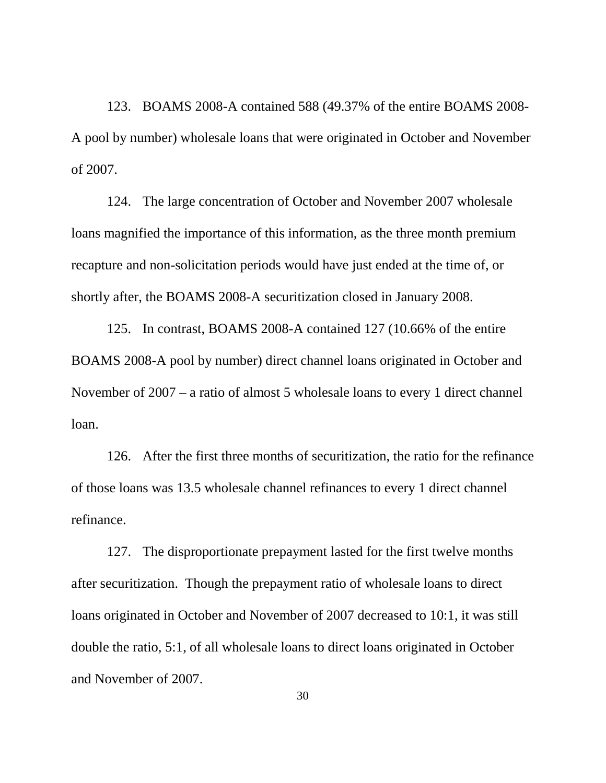123. BOAMS 2008-A contained 588 (49.37% of the entire BOAMS 2008- A pool by number) wholesale loans that were originated in October and November of 2007.

124. The large concentration of October and November 2007 wholesale loans magnified the importance of this information, as the three month premium recapture and non-solicitation periods would have just ended at the time of, or shortly after, the BOAMS 2008-A securitization closed in January 2008.

125. In contrast, BOAMS 2008-A contained 127 (10.66% of the entire BOAMS 2008-A pool by number) direct channel loans originated in October and November of 2007 – a ratio of almost 5 wholesale loans to every 1 direct channel loan.

126. After the first three months of securitization, the ratio for the refinance of those loans was 13.5 wholesale channel refinances to every 1 direct channel refinance.

127. The disproportionate prepayment lasted for the first twelve months after securitization. Though the prepayment ratio of wholesale loans to direct loans originated in October and November of 2007 decreased to 10:1, it was still double the ratio, 5:1, of all wholesale loans to direct loans originated in October and November of 2007.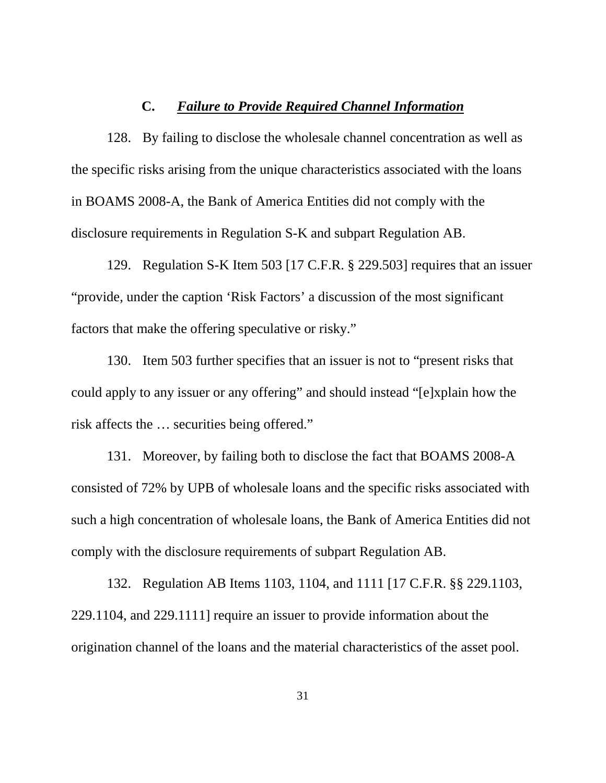#### **C.** *Failure to Provide Required Channel Information*

128. By failing to disclose the wholesale channel concentration as well as the specific risks arising from the unique characteristics associated with the loans in BOAMS 2008-A, the Bank of America Entities did not comply with the disclosure requirements in Regulation S-K and subpart Regulation AB.

129. Regulation S-K Item 503 [17 C.F.R. § 229.503] requires that an issuer "provide, under the caption 'Risk Factors' a discussion of the most significant factors that make the offering speculative or risky."

130. Item 503 further specifies that an issuer is not to "present risks that could apply to any issuer or any offering" and should instead "[e]xplain how the risk affects the … securities being offered."

131. Moreover, by failing both to disclose the fact that BOAMS 2008-A consisted of 72% by UPB of wholesale loans and the specific risks associated with such a high concentration of wholesale loans, the Bank of America Entities did not comply with the disclosure requirements of subpart Regulation AB.

132. Regulation AB Items 1103, 1104, and 1111 [17 C.F.R. §§ 229.1103, 229.1104, and 229.1111] require an issuer to provide information about the origination channel of the loans and the material characteristics of the asset pool.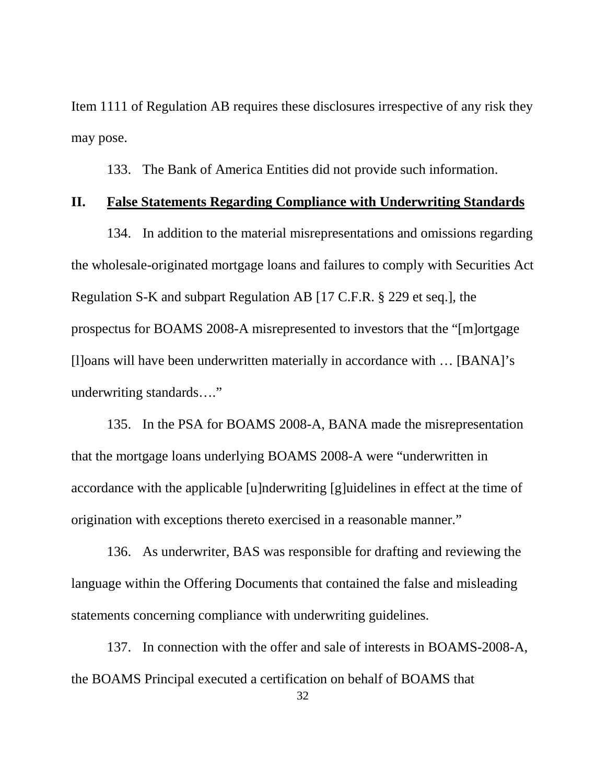Item 1111 of Regulation AB requires these disclosures irrespective of any risk they may pose.

133. The Bank of America Entities did not provide such information.

#### **II. False Statements Regarding Compliance with Underwriting Standards**

134. In addition to the material misrepresentations and omissions regarding the wholesale-originated mortgage loans and failures to comply with Securities Act Regulation S-K and subpart Regulation AB [17 C.F.R. § 229 et seq.], the prospectus for BOAMS 2008-A misrepresented to investors that the "[m]ortgage [l]oans will have been underwritten materially in accordance with … [BANA]'s underwriting standards…."

135. In the PSA for BOAMS 2008-A, BANA made the misrepresentation that the mortgage loans underlying BOAMS 2008-A were "underwritten in accordance with the applicable [u]nderwriting [g]uidelines in effect at the time of origination with exceptions thereto exercised in a reasonable manner."

136. As underwriter, BAS was responsible for drafting and reviewing the language within the Offering Documents that contained the false and misleading statements concerning compliance with underwriting guidelines.

137. In connection with the offer and sale of interests in BOAMS-2008-A, the BOAMS Principal executed a certification on behalf of BOAMS that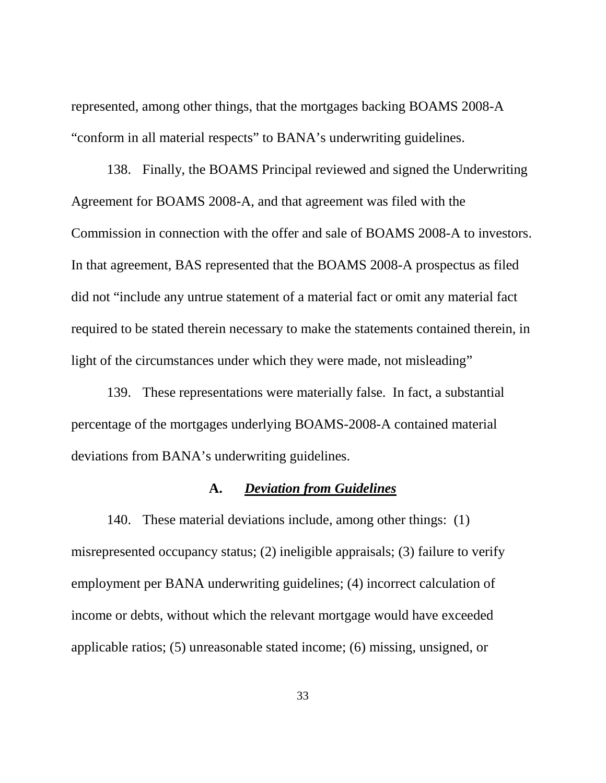represented, among other things, that the mortgages backing BOAMS 2008-A "conform in all material respects" to BANA's underwriting guidelines.

138. Finally, the BOAMS Principal reviewed and signed the Underwriting Agreement for BOAMS 2008-A, and that agreement was filed with the Commission in connection with the offer and sale of BOAMS 2008-A to investors. In that agreement, BAS represented that the BOAMS 2008-A prospectus as filed did not "include any untrue statement of a material fact or omit any material fact required to be stated therein necessary to make the statements contained therein, in light of the circumstances under which they were made, not misleading"

139. These representations were materially false. In fact, a substantial percentage of the mortgages underlying BOAMS-2008-A contained material deviations from BANA's underwriting guidelines.

#### **A.** *Deviation from Guidelines*

140. These material deviations include, among other things: (1) misrepresented occupancy status; (2) ineligible appraisals; (3) failure to verify employment per BANA underwriting guidelines; (4) incorrect calculation of income or debts, without which the relevant mortgage would have exceeded applicable ratios; (5) unreasonable stated income; (6) missing, unsigned, or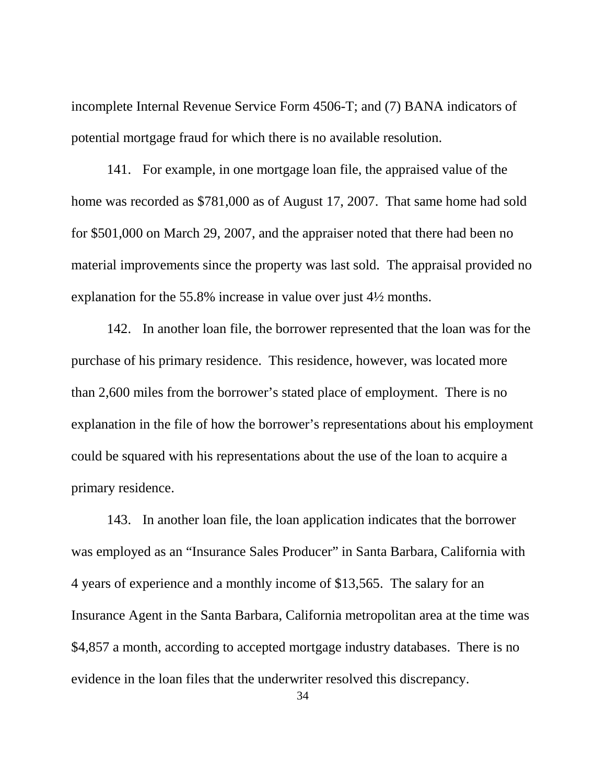incomplete Internal Revenue Service Form 4506-T; and (7) BANA indicators of potential mortgage fraud for which there is no available resolution.

141. For example, in one mortgage loan file, the appraised value of the home was recorded as \$781,000 as of August 17, 2007. That same home had sold for \$501,000 on March 29, 2007, and the appraiser noted that there had been no material improvements since the property was last sold. The appraisal provided no explanation for the 55.8% increase in value over just 4½ months.

142. In another loan file, the borrower represented that the loan was for the purchase of his primary residence. This residence, however, was located more than 2,600 miles from the borrower's stated place of employment. There is no explanation in the file of how the borrower's representations about his employment could be squared with his representations about the use of the loan to acquire a primary residence.

143. In another loan file, the loan application indicates that the borrower was employed as an "Insurance Sales Producer" in Santa Barbara, California with 4 years of experience and a monthly income of \$13,565. The salary for an Insurance Agent in the Santa Barbara, California metropolitan area at the time was \$4,857 a month, according to accepted mortgage industry databases. There is no evidence in the loan files that the underwriter resolved this discrepancy.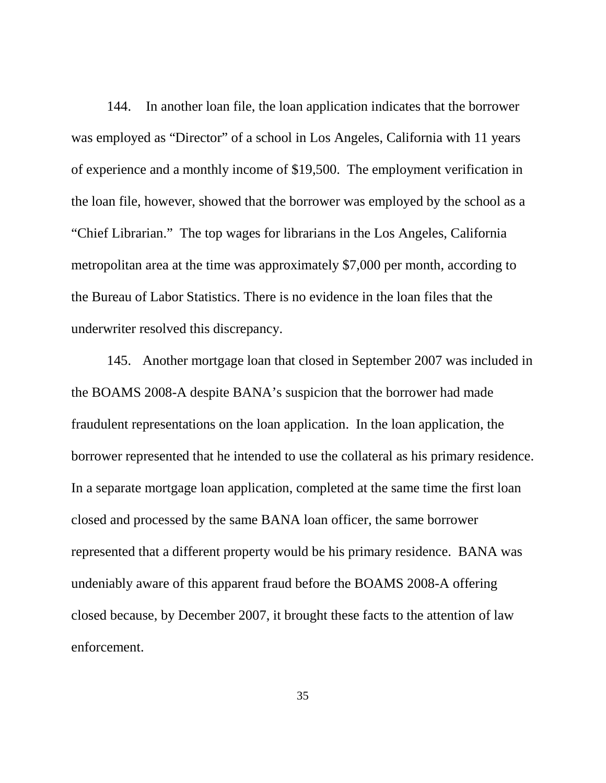144. In another loan file, the loan application indicates that the borrower was employed as "Director" of a school in Los Angeles, California with 11 years of experience and a monthly income of \$19,500. The employment verification in the loan file, however, showed that the borrower was employed by the school as a "Chief Librarian." The top wages for librarians in the Los Angeles, California metropolitan area at the time was approximately \$7,000 per month, according to the Bureau of Labor Statistics. There is no evidence in the loan files that the underwriter resolved this discrepancy.

145. Another mortgage loan that closed in September 2007 was included in the BOAMS 2008-A despite BANA's suspicion that the borrower had made fraudulent representations on the loan application. In the loan application, the borrower represented that he intended to use the collateral as his primary residence. In a separate mortgage loan application, completed at the same time the first loan closed and processed by the same BANA loan officer, the same borrower represented that a different property would be his primary residence. BANA was undeniably aware of this apparent fraud before the BOAMS 2008-A offering closed because, by December 2007, it brought these facts to the attention of law enforcement.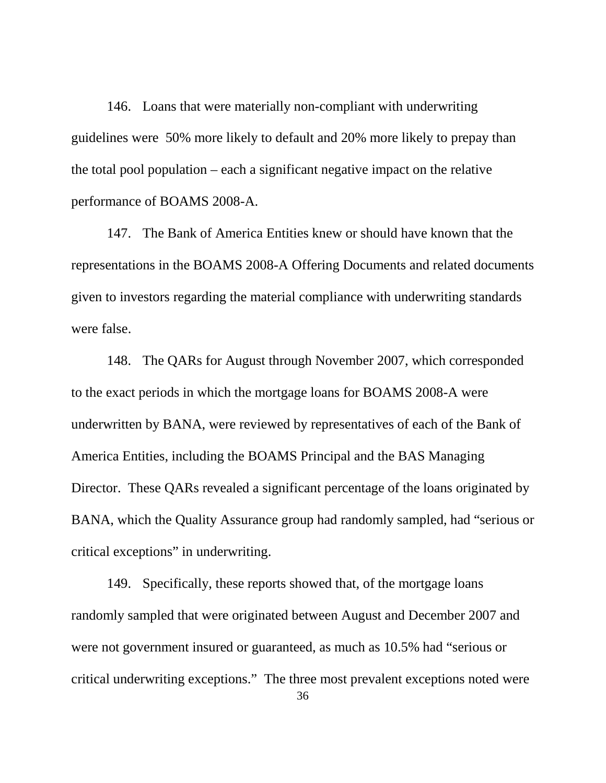146. Loans that were materially non-compliant with underwriting guidelines were 50% more likely to default and 20% more likely to prepay than the total pool population – each a significant negative impact on the relative performance of BOAMS 2008-A.

147. The Bank of America Entities knew or should have known that the representations in the BOAMS 2008-A Offering Documents and related documents given to investors regarding the material compliance with underwriting standards were false.

148. The QARs for August through November 2007, which corresponded to the exact periods in which the mortgage loans for BOAMS 2008-A were underwritten by BANA, were reviewed by representatives of each of the Bank of America Entities, including the BOAMS Principal and the BAS Managing Director. These QARs revealed a significant percentage of the loans originated by BANA, which the Quality Assurance group had randomly sampled, had "serious or critical exceptions" in underwriting.

149. Specifically, these reports showed that, of the mortgage loans randomly sampled that were originated between August and December 2007 and were not government insured or guaranteed, as much as 10.5% had "serious or critical underwriting exceptions." The three most prevalent exceptions noted were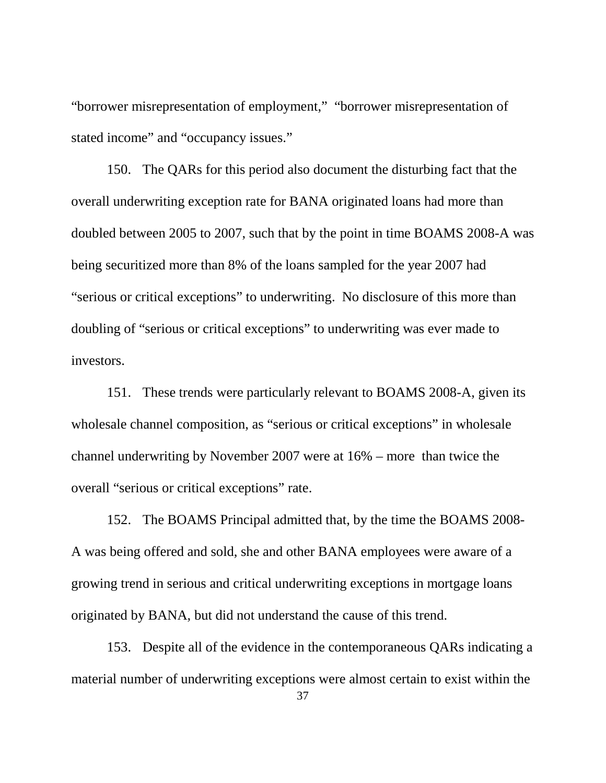"borrower misrepresentation of employment," "borrower misrepresentation of stated income" and "occupancy issues."

150. The QARs for this period also document the disturbing fact that the overall underwriting exception rate for BANA originated loans had more than doubled between 2005 to 2007, such that by the point in time BOAMS 2008-A was being securitized more than 8% of the loans sampled for the year 2007 had "serious or critical exceptions" to underwriting. No disclosure of this more than doubling of "serious or critical exceptions" to underwriting was ever made to investors.

151. These trends were particularly relevant to BOAMS 2008-A, given its wholesale channel composition, as "serious or critical exceptions" in wholesale channel underwriting by November 2007 were at 16% – more than twice the overall "serious or critical exceptions" rate.

152. The BOAMS Principal admitted that, by the time the BOAMS 2008- A was being offered and sold, she and other BANA employees were aware of a growing trend in serious and critical underwriting exceptions in mortgage loans originated by BANA, but did not understand the cause of this trend.

153. Despite all of the evidence in the contemporaneous QARs indicating a material number of underwriting exceptions were almost certain to exist within the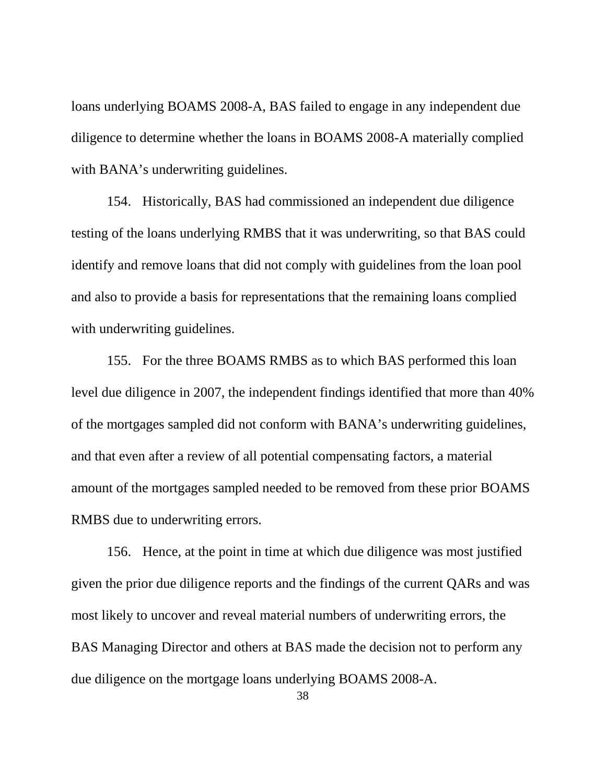loans underlying BOAMS 2008-A, BAS failed to engage in any independent due diligence to determine whether the loans in BOAMS 2008-A materially complied with BANA's underwriting guidelines.

154. Historically, BAS had commissioned an independent due diligence testing of the loans underlying RMBS that it was underwriting, so that BAS could identify and remove loans that did not comply with guidelines from the loan pool and also to provide a basis for representations that the remaining loans complied with underwriting guidelines.

155. For the three BOAMS RMBS as to which BAS performed this loan level due diligence in 2007, the independent findings identified that more than 40% of the mortgages sampled did not conform with BANA's underwriting guidelines, and that even after a review of all potential compensating factors, a material amount of the mortgages sampled needed to be removed from these prior BOAMS RMBS due to underwriting errors.

156. Hence, at the point in time at which due diligence was most justified given the prior due diligence reports and the findings of the current QARs and was most likely to uncover and reveal material numbers of underwriting errors, the BAS Managing Director and others at BAS made the decision not to perform any due diligence on the mortgage loans underlying BOAMS 2008-A.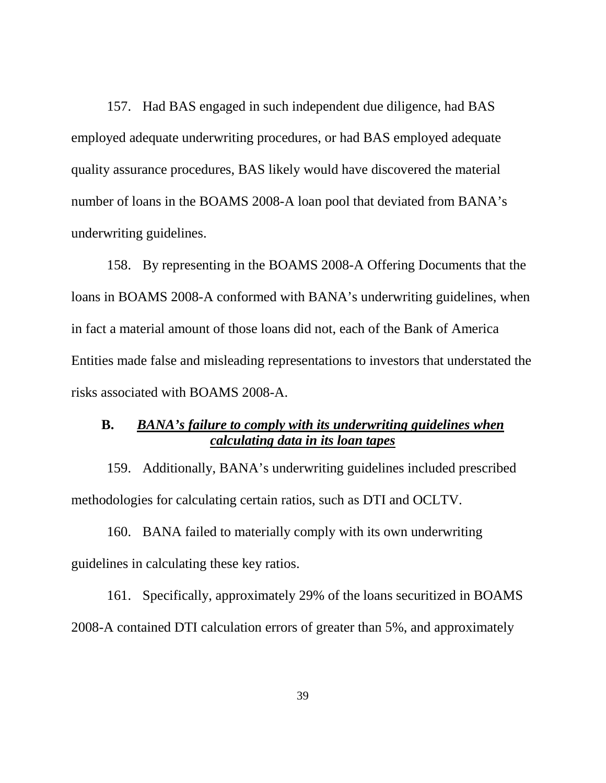157. Had BAS engaged in such independent due diligence, had BAS employed adequate underwriting procedures, or had BAS employed adequate quality assurance procedures, BAS likely would have discovered the material number of loans in the BOAMS 2008-A loan pool that deviated from BANA's underwriting guidelines.

158. By representing in the BOAMS 2008-A Offering Documents that the loans in BOAMS 2008-A conformed with BANA's underwriting guidelines, when in fact a material amount of those loans did not, each of the Bank of America Entities made false and misleading representations to investors that understated the risks associated with BOAMS 2008-A.

## **B.** *BANA's failure to comply with its underwriting guidelines when calculating data in its loan tapes*

159. Additionally, BANA's underwriting guidelines included prescribed methodologies for calculating certain ratios, such as DTI and OCLTV.

160. BANA failed to materially comply with its own underwriting guidelines in calculating these key ratios.

161. Specifically, approximately 29% of the loans securitized in BOAMS 2008-A contained DTI calculation errors of greater than 5%, and approximately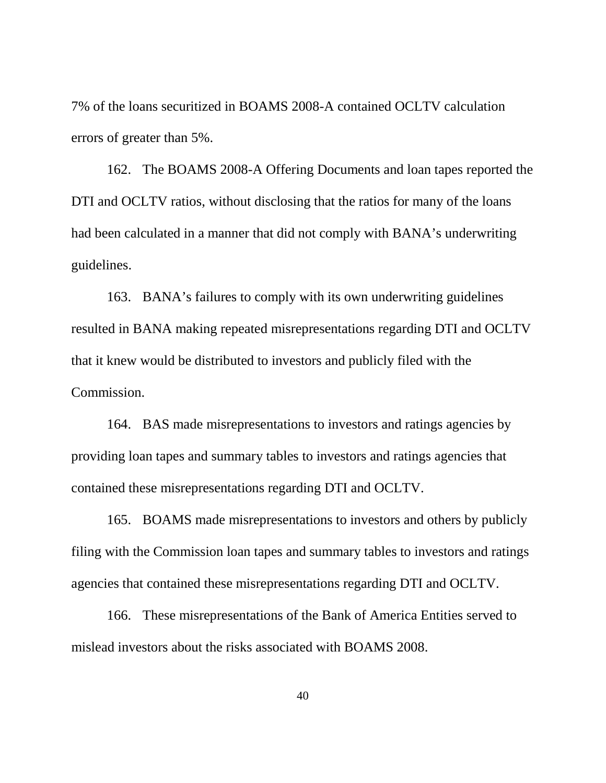7% of the loans securitized in BOAMS 2008-A contained OCLTV calculation errors of greater than 5%.

162. The BOAMS 2008-A Offering Documents and loan tapes reported the DTI and OCLTV ratios, without disclosing that the ratios for many of the loans had been calculated in a manner that did not comply with BANA's underwriting guidelines.

163. BANA's failures to comply with its own underwriting guidelines resulted in BANA making repeated misrepresentations regarding DTI and OCLTV that it knew would be distributed to investors and publicly filed with the Commission.

164. BAS made misrepresentations to investors and ratings agencies by providing loan tapes and summary tables to investors and ratings agencies that contained these misrepresentations regarding DTI and OCLTV.

165. BOAMS made misrepresentations to investors and others by publicly filing with the Commission loan tapes and summary tables to investors and ratings agencies that contained these misrepresentations regarding DTI and OCLTV.

166. These misrepresentations of the Bank of America Entities served to mislead investors about the risks associated with BOAMS 2008.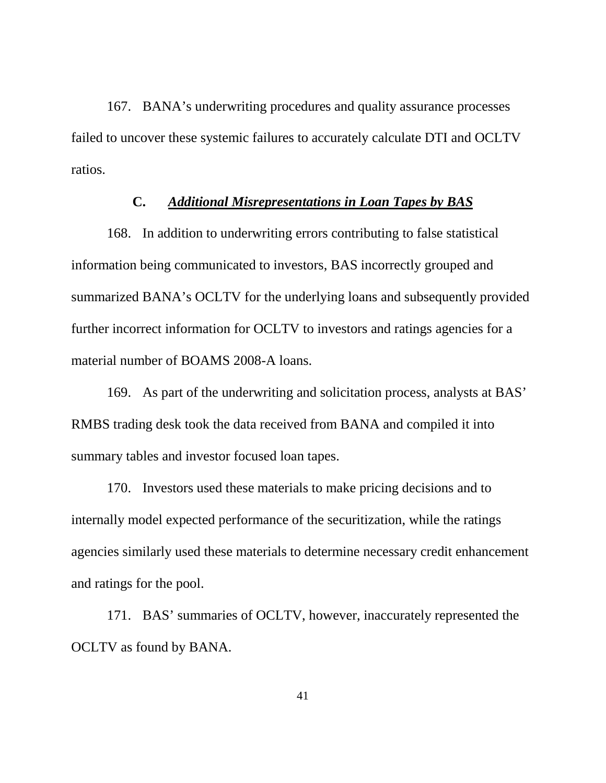167. BANA's underwriting procedures and quality assurance processes failed to uncover these systemic failures to accurately calculate DTI and OCLTV ratios.

### **C.** *Additional Misrepresentations in Loan Tapes by BAS*

168. In addition to underwriting errors contributing to false statistical information being communicated to investors, BAS incorrectly grouped and summarized BANA's OCLTV for the underlying loans and subsequently provided further incorrect information for OCLTV to investors and ratings agencies for a material number of BOAMS 2008-A loans.

169. As part of the underwriting and solicitation process, analysts at BAS' RMBS trading desk took the data received from BANA and compiled it into summary tables and investor focused loan tapes.

170. Investors used these materials to make pricing decisions and to internally model expected performance of the securitization, while the ratings agencies similarly used these materials to determine necessary credit enhancement and ratings for the pool.

171. BAS' summaries of OCLTV, however, inaccurately represented the OCLTV as found by BANA.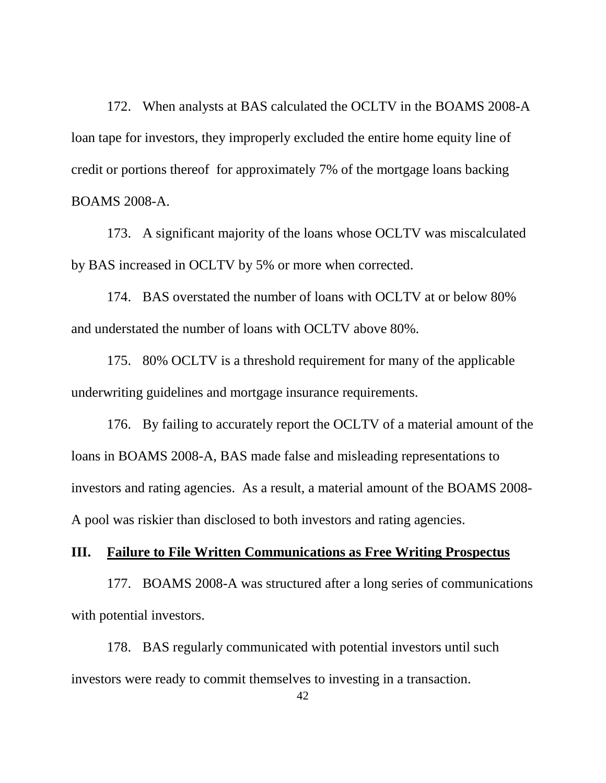172. When analysts at BAS calculated the OCLTV in the BOAMS 2008-A loan tape for investors, they improperly excluded the entire home equity line of credit or portions thereof for approximately 7% of the mortgage loans backing BOAMS 2008-A.

173. A significant majority of the loans whose OCLTV was miscalculated by BAS increased in OCLTV by 5% or more when corrected.

174. BAS overstated the number of loans with OCLTV at or below 80% and understated the number of loans with OCLTV above 80%.

175. 80% OCLTV is a threshold requirement for many of the applicable underwriting guidelines and mortgage insurance requirements.

176. By failing to accurately report the OCLTV of a material amount of the loans in BOAMS 2008-A, BAS made false and misleading representations to investors and rating agencies. As a result, a material amount of the BOAMS 2008- A pool was riskier than disclosed to both investors and rating agencies.

## **III. Failure to File Written Communications as Free Writing Prospectus**

177. BOAMS 2008-A was structured after a long series of communications with potential investors.

178. BAS regularly communicated with potential investors until such investors were ready to commit themselves to investing in a transaction.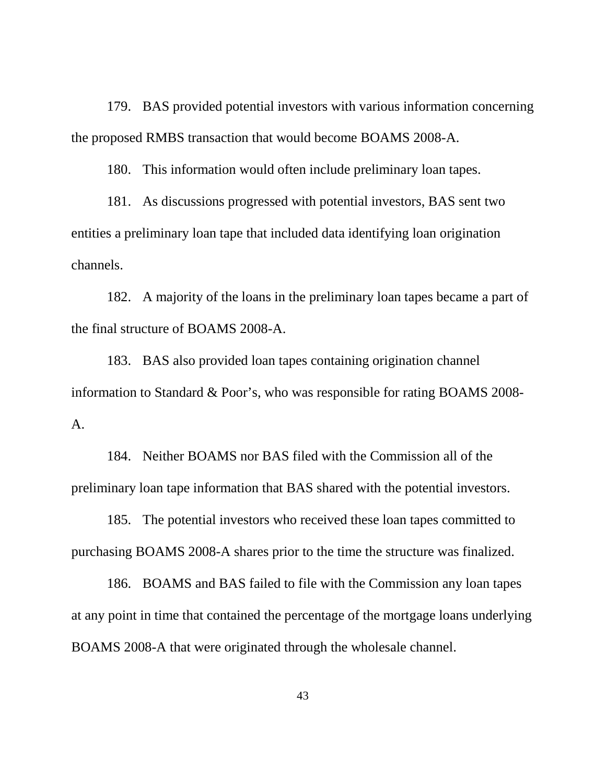179. BAS provided potential investors with various information concerning the proposed RMBS transaction that would become BOAMS 2008-A.

180. This information would often include preliminary loan tapes.

181. As discussions progressed with potential investors, BAS sent two entities a preliminary loan tape that included data identifying loan origination channels.

182. A majority of the loans in the preliminary loan tapes became a part of the final structure of BOAMS 2008-A.

183. BAS also provided loan tapes containing origination channel information to Standard & Poor's, who was responsible for rating BOAMS 2008- A.

184. Neither BOAMS nor BAS filed with the Commission all of the preliminary loan tape information that BAS shared with the potential investors.

185. The potential investors who received these loan tapes committed to purchasing BOAMS 2008-A shares prior to the time the structure was finalized.

186. BOAMS and BAS failed to file with the Commission any loan tapes at any point in time that contained the percentage of the mortgage loans underlying BOAMS 2008-A that were originated through the wholesale channel.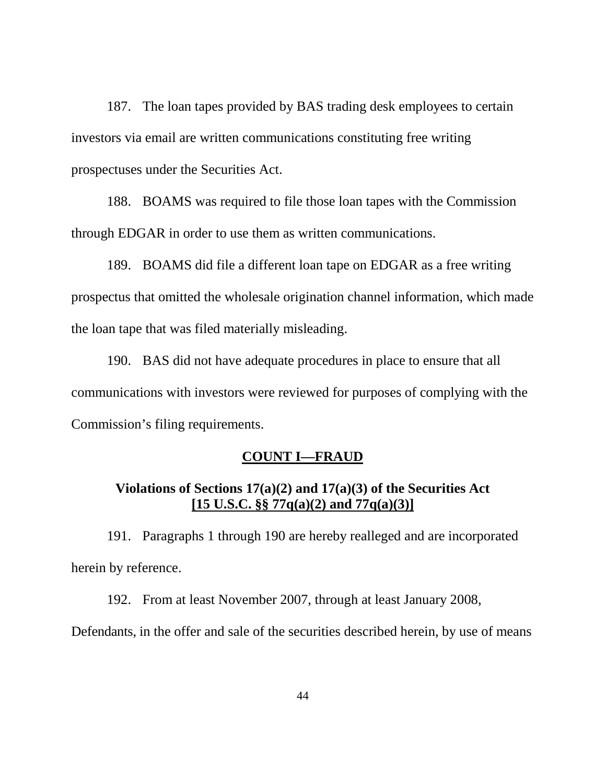187. The loan tapes provided by BAS trading desk employees to certain investors via email are written communications constituting free writing prospectuses under the Securities Act.

188. BOAMS was required to file those loan tapes with the Commission through EDGAR in order to use them as written communications.

189. BOAMS did file a different loan tape on EDGAR as a free writing prospectus that omitted the wholesale origination channel information, which made the loan tape that was filed materially misleading.

190. BAS did not have adequate procedures in place to ensure that all communications with investors were reviewed for purposes of complying with the Commission's filing requirements.

### **COUNT I—FRAUD**

# **Violations of Sections 17(a)(2) and 17(a)(3) of the Securities Act [15 U.S.C. §§ 77q(a)(2) and 77q(a)(3)]**

191. Paragraphs 1 through 190 are hereby realleged and are incorporated herein by reference.

192. From at least November 2007, through at least January 2008,

Defendants, in the offer and sale of the securities described herein, by use of means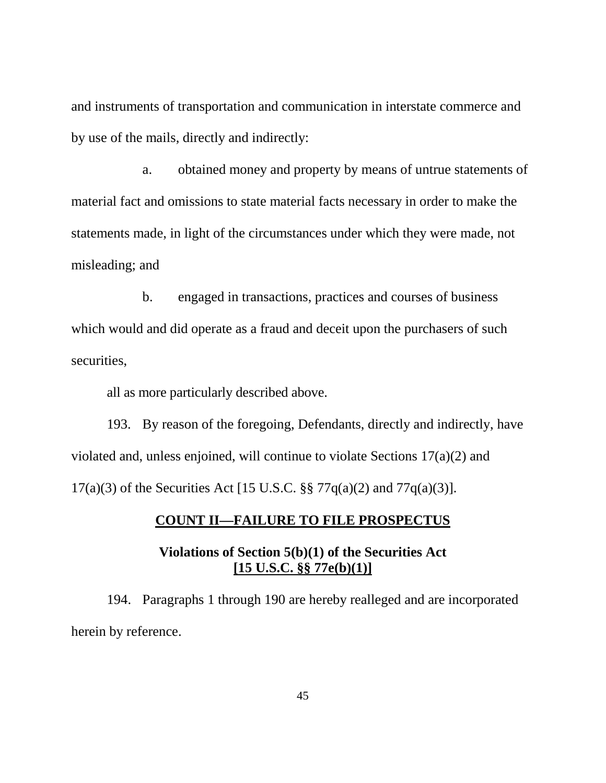and instruments of transportation and communication in interstate commerce and by use of the mails, directly and indirectly:

a. obtained money and property by means of untrue statements of material fact and omissions to state material facts necessary in order to make the statements made, in light of the circumstances under which they were made, not misleading; and

b. engaged in transactions, practices and courses of business which would and did operate as a fraud and deceit upon the purchasers of such securities,

all as more particularly described above.

193. By reason of the foregoing, Defendants, directly and indirectly, have violated and, unless enjoined, will continue to violate Sections 17(a)(2) and 17(a)(3) of the Securities Act [15 U.S.C. §§ 77q(a)(2) and 77q(a)(3)].

# **COUNT II—FAILURE TO FILE PROSPECTUS**

# **Violations of Section 5(b)(1) of the Securities Act [15 U.S.C. §§ 77e(b)(1)]**

194. Paragraphs 1 through 190 are hereby realleged and are incorporated herein by reference.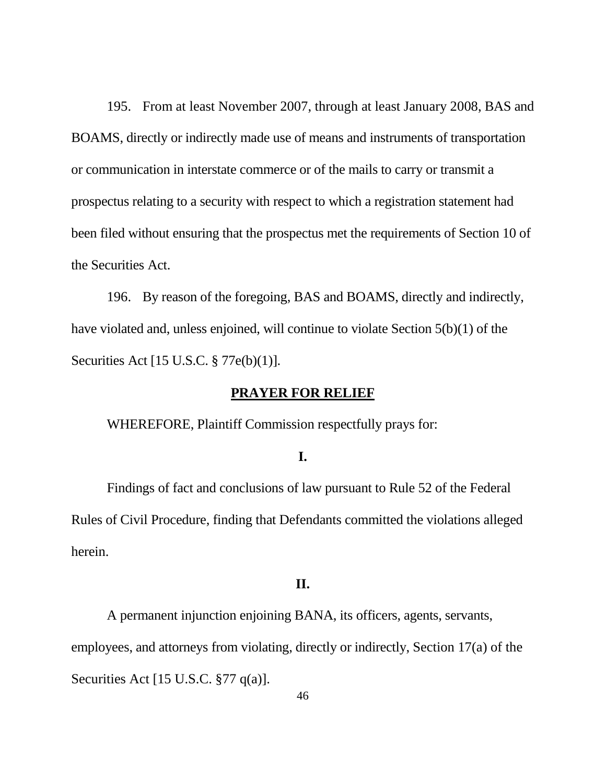195. From at least November 2007, through at least January 2008, BAS and BOAMS, directly or indirectly made use of means and instruments of transportation or communication in interstate commerce or of the mails to carry or transmit a prospectus relating to a security with respect to which a registration statement had been filed without ensuring that the prospectus met the requirements of Section 10 of the Securities Act.

196. By reason of the foregoing, BAS and BOAMS, directly and indirectly, have violated and, unless enjoined, will continue to violate Section 5(b)(1) of the Securities Act [15 U.S.C. § 77e(b)(1)].

## **PRAYER FOR RELIEF**

WHEREFORE, Plaintiff Commission respectfully prays for:

### **I.**

Findings of fact and conclusions of law pursuant to Rule 52 of the Federal Rules of Civil Procedure, finding that Defendants committed the violations alleged herein.

### **II.**

A permanent injunction enjoining BANA, its officers, agents, servants, employees, and attorneys from violating, directly or indirectly, Section 17(a) of the Securities Act [15 U.S.C. §77 q(a)].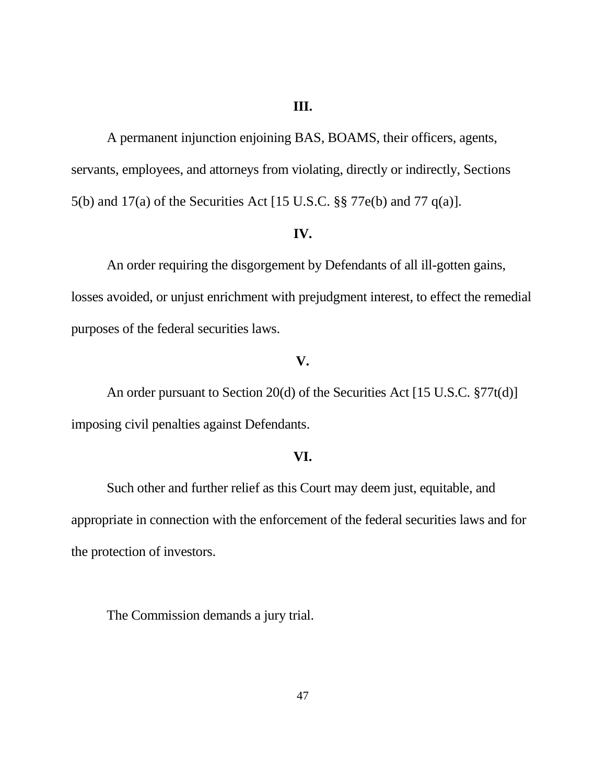### **III.**

A permanent injunction enjoining BAS, BOAMS, their officers, agents, servants, employees, and attorneys from violating, directly or indirectly, Sections 5(b) and 17(a) of the Securities Act [15 U.S.C. §§ 77e(b) and 77 q(a)].

#### **IV.**

An order requiring the disgorgement by Defendants of all ill-gotten gains, losses avoided, or unjust enrichment with prejudgment interest, to effect the remedial purposes of the federal securities laws.

# **V.**

An order pursuant to Section 20(d) of the Securities Act [15 U.S.C. §77t(d)] imposing civil penalties against Defendants.

#### **VI.**

Such other and further relief as this Court may deem just, equitable, and appropriate in connection with the enforcement of the federal securities laws and for the protection of investors.

The Commission demands a jury trial.